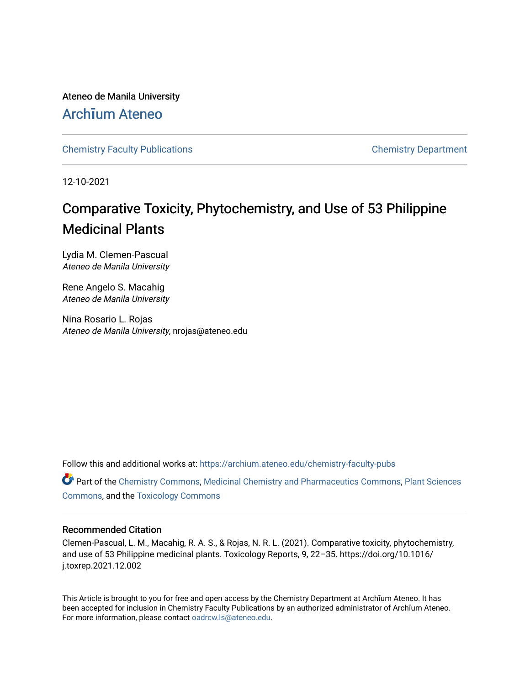Ateneo de Manila University

# Arch**ī**[um Ateneo](https://archium.ateneo.edu/)

[Chemistry Faculty Publications](https://archium.ateneo.edu/chemistry-faculty-pubs) [Chemistry Department](https://archium.ateneo.edu/chemistry) 

12-10-2021

# Comparative Toxicity, Phytochemistry, and Use of 53 Philippine Medicinal Plants

Lydia M. Clemen-Pascual Ateneo de Manila University

Rene Angelo S. Macahig Ateneo de Manila University

Nina Rosario L. Rojas Ateneo de Manila University, nrojas@ateneo.edu

Follow this and additional works at: [https://archium.ateneo.edu/chemistry-faculty-pubs](https://archium.ateneo.edu/chemistry-faculty-pubs?utm_source=archium.ateneo.edu%2Fchemistry-faculty-pubs%2F166&utm_medium=PDF&utm_campaign=PDFCoverPages)

Part of the [Chemistry Commons,](http://network.bepress.com/hgg/discipline/131?utm_source=archium.ateneo.edu%2Fchemistry-faculty-pubs%2F166&utm_medium=PDF&utm_campaign=PDFCoverPages) [Medicinal Chemistry and Pharmaceutics Commons](http://network.bepress.com/hgg/discipline/65?utm_source=archium.ateneo.edu%2Fchemistry-faculty-pubs%2F166&utm_medium=PDF&utm_campaign=PDFCoverPages), [Plant Sciences](http://network.bepress.com/hgg/discipline/102?utm_source=archium.ateneo.edu%2Fchemistry-faculty-pubs%2F166&utm_medium=PDF&utm_campaign=PDFCoverPages) [Commons](http://network.bepress.com/hgg/discipline/102?utm_source=archium.ateneo.edu%2Fchemistry-faculty-pubs%2F166&utm_medium=PDF&utm_campaign=PDFCoverPages), and the [Toxicology Commons](http://network.bepress.com/hgg/discipline/67?utm_source=archium.ateneo.edu%2Fchemistry-faculty-pubs%2F166&utm_medium=PDF&utm_campaign=PDFCoverPages) 

# Recommended Citation

Clemen-Pascual, L. M., Macahig, R. A. S., & Rojas, N. R. L. (2021). Comparative toxicity, phytochemistry, and use of 53 Philippine medicinal plants. Toxicology Reports, 9, 22–35. https://doi.org/10.1016/ j.toxrep.2021.12.002

This Article is brought to you for free and open access by the Chemistry Department at Archīum Ateneo. It has been accepted for inclusion in Chemistry Faculty Publications by an authorized administrator of Archīum Ateneo. For more information, please contact [oadrcw.ls@ateneo.edu.](mailto:oadrcw.ls@ateneo.edu)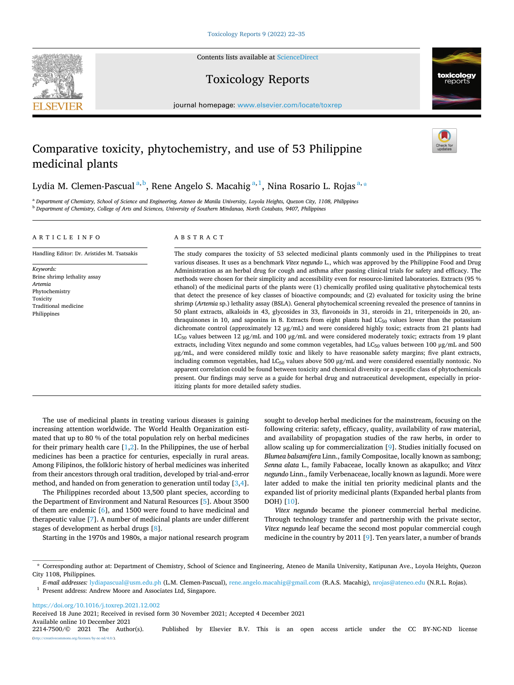**SEVIER** 



Contents lists available at [ScienceDirect](www.sciencedirect.com/science/journal/22147500)

# Toxicology Reports

journal homepage: [www.elsevier.com/locate/toxrep](https://www.elsevier.com/locate/toxrep)

# Comparative toxicity, phytochemistry, and use of 53 Philippine medicinal plants

Lydia M. Clemen-Pascual <sup>a, b</sup>, Rene Angelo S. Macahig <sup>a, 1</sup>, Nina Rosario L. Rojas <sup>a, \*</sup>

<sup>a</sup> *Department of Chemistry, School of Science and Engineering, Ateneo de Manila University, Loyola Heights, Quezon City, 1108, Philippines* <sup>b</sup> *Department of Chemistry, College of Arts and Sciences, University of Southern Mindanao, North Cotabato, 9407, Philippines* 

# ARTICLE INFO

Handling Editor: Dr. Aristides M. Tsatsakis

*Keywords:*  Brine shrimp lethality assay *Artemia*  Phytochemistry Toxicity Traditional medicine Philippines

# ABSTRACT

The study compares the toxicity of 53 selected medicinal plants commonly used in the Philippines to treat various diseases. It uses as a benchmark *Vitex negundo* L., which was approved by the Philippine Food and Drug Administration as an herbal drug for cough and asthma after passing clinical trials for safety and efficacy. The methods were chosen for their simplicity and accessibility even for resource-limited laboratories. Extracts (95 % ethanol) of the medicinal parts of the plants were (1) chemically profiled using qualitative phytochemical tests that detect the presence of key classes of bioactive compounds; and (2) evaluated for toxicity using the brine shrimp (*Artemia* sp.) lethality assay (BSLA). General phytochemical screening revealed the presence of tannins in 50 plant extracts, alkaloids in 43, glycosides in 33, flavonoids in 31, steroids in 21, triterpenoids in 20, anthraquinones in 10, and saponins in 8. Extracts from eight plants had  $LC_{50}$  values lower than the potassium dichromate control (approximately 12 μg/mL) and were considered highly toxic; extracts from 21 plants had LC<sub>50</sub> values between 12 μg/mL and 100 μg/mL and were considered moderately toxic; extracts from 19 plant extracts, including Vitex negundo and some common vegetables, had LC<sub>50</sub> values between 100 μg/mL and 500 μg/mL, and were considered mildly toxic and likely to have reasonable safety margins; five plant extracts, including common vegetables, had  $LC_{50}$  values above 500  $\mu$ g/mL and were considered essentially nontoxic. No apparent correlation could be found between toxicity and chemical diversity or a specific class of phytochemicals present. Our findings may serve as a guide for herbal drug and nutraceutical development, especially in prioritizing plants for more detailed safety studies.

The use of medicinal plants in treating various diseases is gaining increasing attention worldwide. The World Health Organization estimated that up to 80 % of the total population rely on herbal medicines for their primary health care  $[1,2]$  $[1,2]$  $[1,2]$ . In the Philippines, the use of herbal medicines has been a practice for centuries, especially in rural areas. Among Filipinos, the folkloric history of herbal medicines was inherited from their ancestors through oral tradition, developed by trial-and-error method, and handed on from generation to generation until today [[3](#page-11-0),[4](#page-11-0)].

The Philippines recorded about 13,500 plant species, according to the Department of Environment and Natural Resources [\[5\]](#page-11-0). About 3500 of them are endemic [\[6\]](#page-11-0), and 1500 were found to have medicinal and therapeutic value [\[7\]](#page-11-0). A number of medicinal plants are under different stages of development as herbal drugs [\[8\]](#page-11-0).

Starting in the 1970s and 1980s, a major national research program

sought to develop herbal medicines for the mainstream, focusing on the following criteria: safety, efficacy, quality, availability of raw material, and availability of propagation studies of the raw herbs, in order to allow scaling up for commercialization [[9](#page-11-0)]. Studies initially focused on *Blumea balsamifera* Linn., family Compositae, locally known as sambong; *Senna alata* L., family Fabaceae, locally known as akapulko; and *Vitex negundo* Linn., family Verbenaceae, locally known as lagundi. More were later added to make the initial ten priority medicinal plants and the expanded list of priority medicinal plants (Expanded herbal plants from DOH) [[10\]](#page-11-0).

*Vitex negundo* became the pioneer commercial herbal medicine. Through technology transfer and partnership with the private sector, *Vitex negundo* leaf became the second most popular commercial cough medicine in the country by 2011 [[9](#page-11-0)]. Ten years later, a number of brands

<https://doi.org/10.1016/j.toxrep.2021.12.002>

Available online 10 December 2021<br>2214-7500/© 2021 The Author(s). Received 18 June 2021; Received in revised form 30 November 2021; Accepted 4 December 2021

<sup>\*</sup> Corresponding author at: Department of Chemistry, School of Science and Engineering, Ateneo de Manila University, Katipunan Ave., Loyola Heights, Quezon City 1108, Philippines.

*E-mail addresses:* [lydiapascual@usm.edu.ph](mailto:lydiapascual@usm.edu.ph) (L.M. Clemen-Pascual), [rene.angelo.macahig@gmail.com](mailto:rene.angelo.macahig@gmail.com) (R.A.S. Macahig), [nrojas@ateneo.edu](mailto:nrojas@ateneo.edu) (N.R.L. Rojas). 1 Present address: Andrew Moore and Associates Ltd, Singapore.

<sup>2214-7500/© 2021</sup> The Author(s). Published by Elsevier B.V. This is an open access article under the CC BY-NC-ND license (a).org/licenses/by-nc-nd/4.0/).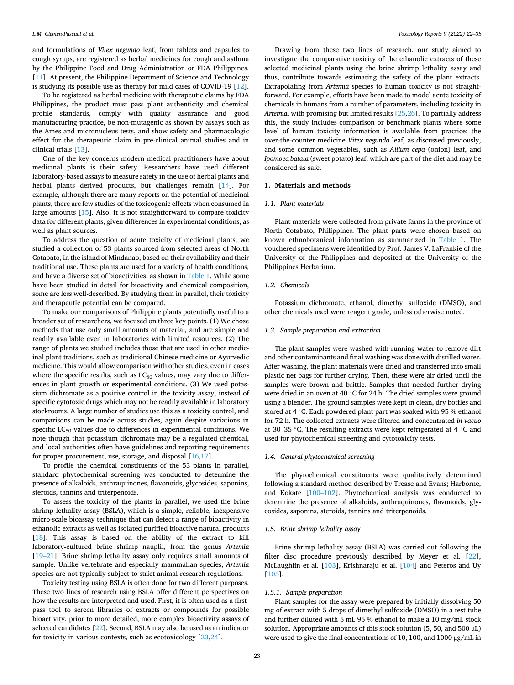and formulations of *Vitex negundo* leaf, from tablets and capsules to cough syrups, are registered as herbal medicines for cough and asthma by the Philippine Food and Drug Administration or FDA Philippines. [[11\]](#page-11-0). At present, the Philippine Department of Science and Technology is studying its possible use as therapy for mild cases of COVID-19 [\[12](#page-11-0)].

To be registered as herbal medicine with therapeutic claims by FDA Philippines, the product must pass plant authenticity and chemical profile standards, comply with quality assurance and good manufacturing practice, be non-mutagenic as shown by assays such as the Ames and micronucleus tests, and show safety and pharmacologic effect for the therapeutic claim in pre-clinical animal studies and in clinical trials [\[13](#page-11-0)].

One of the key concerns modern medical practitioners have about medicinal plants is their safety. Researchers have used different laboratory-based assays to measure safety in the use of herbal plants and herbal plants derived products, but challenges remain [[14\]](#page-11-0). For example, although there are many reports on the potential of medicinal plants, there are few studies of the toxicogenic effects when consumed in large amounts [\[15](#page-11-0)]. Also, it is not straightforward to compare toxicity data for different plants, given differences in experimental conditions, as well as plant sources.

To address the question of acute toxicity of medicinal plants, we studied a collection of 53 plants sourced from selected areas of North Cotabato, in the island of Mindanao, based on their availability and their traditional use. These plants are used for a variety of health conditions, and have a diverse set of bioactivities, as shown in [Table 1](#page-3-0). While some have been studied in detail for bioactivity and chemical composition, some are less well-described. By studying them in parallel, their toxicity and therapeutic potential can be compared.

To make our comparisons of Philippine plants potentially useful to a broader set of researchers, we focused on three key points. (1) We chose methods that use only small amounts of material, and are simple and readily available even in laboratories with limited resources. (2) The range of plants we studied includes those that are used in other medicinal plant traditions, such as traditional Chinese medicine or Ayurvedic medicine. This would allow comparison with other studies, even in cases where the specific results, such as  $LC_{50}$  values, may vary due to differences in plant growth or experimental conditions. (3) We used potassium dichromate as a positive control in the toxicity assay, instead of specific cytotoxic drugs which may not be readily available in laboratory stockrooms. A large number of studies use this as a toxicity control, and comparisons can be made across studies, again despite variations in specific  $LC_{50}$  values due to differences in experimental conditions. We note though that potassium dichromate may be a regulated chemical, and local authorities often have guidelines and reporting requirements for proper procurement, use, storage, and disposal [[16,17\]](#page-11-0).

To profile the chemical constituents of the 53 plants in parallel, standard phytochemical screening was conducted to determine the presence of alkaloids, anthraquinones, flavonoids, glycosides, saponins, steroids, tannins and triterpenoids.

To assess the toxicity of the plants in parallel, we used the brine shrimp lethality assay (BSLA), which is a simple, reliable, inexpensive micro-scale bioassay technique that can detect a range of bioactivity in ethanolic extracts as well as isolated purified bioactive natural products [[18\]](#page-11-0). This assay is based on the ability of the extract to kill laboratory-cultured brine shrimp nauplii, from the genus *Artemia*  [19–[21\]](#page-11-0). Brine shrimp lethality assay only requires small amounts of sample. Unlike vertebrate and especially mammalian species, *Artemia*  species are not typically subject to strict animal research regulations.

Toxicity testing using BSLA is often done for two different purposes. These two lines of research using BSLA offer different perspectives on how the results are interpreted and used. First, it is often used as a firstpass tool to screen libraries of extracts or compounds for possible bioactivity, prior to more detailed, more complex bioactivity assays of selected candidates [\[22](#page-11-0)]. Second, BSLA may also be used as an indicator for toxicity in various contexts, such as ecotoxicology [[23,24\]](#page-11-0).

Drawing from these two lines of research, our study aimed to investigate the comparative toxicity of the ethanolic extracts of these selected medicinal plants using the brine shrimp lethality assay and thus, contribute towards estimating the safety of the plant extracts. Extrapolating from *Artemia* species to human toxicity is not straightforward. For example, efforts have been made to model acute toxicity of chemicals in humans from a number of parameters, including toxicity in *Artemia*, with promising but limited results [\[25,26](#page-11-0)]. To partially address this, the study includes comparison or benchmark plants where some level of human toxicity information is available from practice: the over-the-counter medicine *Vitex negundo* leaf, as discussed previously, and some common vegetables, such as *Allium cepa* (onion) leaf, and *Ipomoea batata* (sweet potato) leaf, which are part of the diet and may be considered as safe.

# **1. Materials and methods**

# *1.1. Plant materials*

Plant materials were collected from private farms in the province of North Cotabato, Philippines. The plant parts were chosen based on known ethnobotanical information as summarized in [Table 1.](#page-3-0) The vouchered specimens were identified by Prof. James V. LaFrankie of the University of the Philippines and deposited at the University of the Philippines Herbarium.

# *1.2. Chemicals*

Potassium dichromate, ethanol, dimethyl sulfoxide (DMSO), and other chemicals used were reagent grade, unless otherwise noted.

#### *1.3. Sample preparation and extraction*

The plant samples were washed with running water to remove dirt and other contaminants and final washing was done with distilled water. After washing, the plant materials were dried and transferred into small plastic net bags for further drying. Then, these were air dried until the samples were brown and brittle. Samples that needed further drying were dried in an oven at 40 ℃ for 24 h. The dried samples were ground using a blender. The ground samples were kept in clean, dry bottles and stored at 4 ◦C. Each powdered plant part was soaked with 95 % ethanol for 72 h. The collected extracts were filtered and concentrated *in vacuo*  at 30–35 ◦C. The resulting extracts were kept refrigerated at 4 ◦C and used for phytochemical screening and cytotoxicity tests.

# *1.4. General phytochemical screening*

The phytochemical constituents were qualitatively determined following a standard method described by Trease and Evans; Harborne, and Kokate [100–[102\]](#page-12-0). Phytochemical analysis was conducted to determine the presence of alkaloids, anthraquinones, flavonoids, glycosides, saponins, steroids, tannins and triterpenoids.

# *1.5. Brine shrimp lethality assay*

Brine shrimp lethality assay (BSLA) was carried out following the filter disc procedure previously described by Meyer et al. [\[22](#page-11-0)], McLaughlin et al. [[103](#page-12-0)], Krishnaraju et al. [[104](#page-12-0)] and Peteros and Uy [[105](#page-12-0)].

# *1.5.1. Sample preparation*

Plant samples for the assay were prepared by initially dissolving 50 mg of extract with 5 drops of dimethyl sulfoxide (DMSO) in a test tube and further diluted with 5 mL 95 % ethanol to make a 10 mg/mL stock solution. Appropriate amounts of this stock solution (5, 50, and 500 μL) were used to give the final concentrations of 10, 100, and 1000 μg/mL in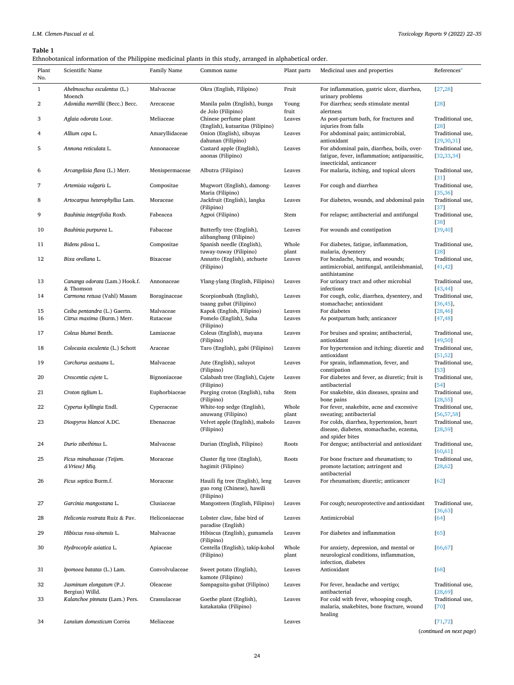# <span id="page-3-0"></span>**Table 1**

Ethnobotanical information of the Philippine medicinal plants in this study, arranged in alphabetical order.

| Plant<br>No. | Scientific Name                             | Family Name    | Common name                                                                 | Plant parts                                                                      | Medicinal uses and properties                                                                                          | References <sup>®</sup>          |
|--------------|---------------------------------------------|----------------|-----------------------------------------------------------------------------|----------------------------------------------------------------------------------|------------------------------------------------------------------------------------------------------------------------|----------------------------------|
| $\mathbf{1}$ | Abelmoschus esculentus (L.)<br>Moench       | Malvaceae      | Okra (English, Filipino)<br>Fruit                                           |                                                                                  | For inflammation, gastric ulcer, diarrhea,<br>urinary problems                                                         | [27, 28]                         |
| 2            | Adonidia merrillii (Becc.) Becc.            | Arecaceae      | Manila palm (English), bunga<br>de Jolo (Filipino)                          | Young<br>fruit                                                                   | For diarrhea; seeds stimulate mental<br>alertness                                                                      | [28]                             |
| 3            | Aglaia odorata Lour.                        | Meliaceae      | Chinese perfume plant<br>(English), kutsaritas (Filipino)                   | Leaves                                                                           | As post-partum bath, for fractures and<br>injuries from falls                                                          | Traditional use,<br>[28]         |
| 4            | Allium cepa L.                              | Amaryllidaceae | Onion (English), sibuyas<br>dahunan (Filipino)                              | Leaves                                                                           | For abdominal pain; antimicrobial,<br>antioxidant                                                                      | Traditional use,<br>[29, 30, 31] |
| 5            | Annona reticulata L.                        | Annonaceae     | Custard apple (English),<br>anonas (Filipino)                               | Leaves                                                                           | For abdominal pain, diarrhea, boils, over-<br>fatigue, fever, inflammation; antiparasitic,<br>insecticidal, anticancer | Traditional use,<br>[32, 33, 34] |
| 6            | Arcangelisia flava (L.) Merr.               | Menispermaceae | Albutra (Filipino)                                                          | Leaves                                                                           | For malaria, itching, and topical ulcers                                                                               | Traditional use,<br>31           |
| 7            | Artemisia vulgaris L.                       | Compositae     | Mugwort (English), damong-<br>Maria (Filipino)                              | Leaves                                                                           | For cough and diarrhea                                                                                                 | Traditional use,<br>[35, 36]     |
| 8            | Artocarpus heterophyllus Lam.               | Moraceae       | Jackfruit (English), langka<br>(Filipino)                                   | Leaves<br>For diabetes, wounds, and abdominal pain                               |                                                                                                                        | Traditional use,<br>[37]         |
| 9            | Bauhinia integrifolia Roxb.                 | Fabeacea       | Agpoi (Filipino)                                                            | Stem<br>For relapse; antibacterial and antifungal                                |                                                                                                                        | Traditional use,<br>$[38]$       |
| 10           | Bauhinia purpurea L.                        | Fabaceae       | Butterfly tree (English),<br>alibangbang (Filipino)                         | Leaves<br>For wounds and constipation                                            |                                                                                                                        | [39, 40]                         |
| 11           | Bidens pilosa L.                            | Compositae     | Spanish needle (English),                                                   | Whole                                                                            | For diabetes, fatigue, inflammation,                                                                                   | Traditional use,                 |
| 12           | Bixa orellana L.                            | Bixaceae       | tuway-tuway (Filipino)<br>Annatto (English), atchuete                       | plant<br>Leaves                                                                  | malaria, dysentery<br>For headache, burns, and wounds;                                                                 | [28]<br>Traditional use,         |
|              |                                             |                | (Filipino)                                                                  |                                                                                  | antimicrobial, antifungal, antileishmanial,<br>antihistamine                                                           | [41, 42]                         |
| 13           | Cananga odorata (Lam.) Hook.f.<br>& Thomson | Annonaceae     | Ylang-ylang (English, Filipino)                                             | Leaves                                                                           | For urinary tract and other microbial<br>infections                                                                    | Traditional use,<br>[43, 44]     |
| 14           | Carmona retusa (Vahl) Masam                 | Boraginaceae   | Scorpionbush (English),<br>tsaang gubat (Filipino)                          | For cough, colic, diarrhea, dysentery, and<br>Leaves<br>stomachache; antioxidant |                                                                                                                        | Traditional use,<br>$[36, 45]$ , |
| 15           | Ceiba pentandra (L.) Gaertn.                | Malvaceae      | Kapok (English, Filipino)                                                   | Leaves                                                                           | For diabetes                                                                                                           | [28, 46]                         |
| 16           | Citrus maxima (Burm.) Merr.                 | Rutaceae       | Pomelo (English), Suha<br>Leaves<br>(Filipino)                              |                                                                                  | As postpartum bath; anticancer                                                                                         | [47, 48]                         |
| 17           | Coleus blumei Benth.                        | Lamiaceae      | Coleus (English), mayana<br>(Filipino)                                      | Leaves                                                                           | For bruises and sprains; antibacterial,<br>antioxidant                                                                 | Traditional use,<br>[49, 50]     |
| 18           | Colocasia esculenta (L.) Schott             | Araceae        | Taro (English), gabi (Filipino)                                             | Leaves                                                                           | For hypertension and itching; diuretic and<br>antioxidant                                                              | Traditional use,<br>[51, 52]     |
| 19           | Corchorus aestuans L.                       | Malvaceae      | Jute (English), saluyot<br>(Filipino)                                       | Leaves                                                                           | For sprain, inflammation, fever, and<br>constipation                                                                   | Traditional use,<br>$[53]$       |
| 20           | Crescentia cujete L.                        | Bignoniaceae   | Calabash tree (English), Cujete<br>(Filipino)                               | Leaves                                                                           | For diabetes and fever, as diuretic; fruit is<br>antibacterial                                                         | Traditional use,<br>$[54]$       |
| 21           | Croton tiglium L.                           | Euphorbiaceae  | Purging croton (English), tuba<br>(Filipino)                                | Stem                                                                             | For snakebite, skin diseases, sprains and<br>bone pains                                                                | Traditional use,<br>[28, 55]     |
| 22           | Cyperus kyllingia Endl.                     | Cyperaceae     | White-top sedge (English),<br>anuwang (Filipino)                            | Whole<br>plant                                                                   | For fever, snakebite, acne and excessive<br>sweating; antibacterial                                                    | Traditional use,<br>[56, 57, 58] |
| 23           | Diospyros blancoi A.DC.                     | Ebenaceae      | Velvet apple (English), mabolo<br>(Filipino)                                | Leaves                                                                           | For colds, diarrhea, hypertension, heart<br>disease, diabetes, stomachache, eczema,<br>and spider bites                | Traditional use,<br>[28, 59]     |
| 24           | Durio zibethinus L.                         | Malvaceae      | Durian (English, Filipino)                                                  | Roots                                                                            | For dengue; antibacterial and antioxidant                                                                              | Traditional use,<br>[60, 61]     |
| 25           | Ficus minahassae (Teijsm.<br>& Vriese) Miq. | Moraceae       | Cluster fig tree (English),<br>hagimit (Filipino)                           | Roots                                                                            | For bone fracture and rheumatism; to<br>promote lactation; astringent and<br>antibacterial                             | Traditional use,<br>[28, 62]     |
| 26           | Ficus septica Burm.f.                       | Moraceae       | Hauili fig tree (English), leng<br>guo rong (Chinese), hawili<br>(Filipino) | For rheumatism; diuretic; anticancer<br>Leaves                                   |                                                                                                                        | [62]                             |
| 27           | Garcinia mangostana L.                      | Clusiaceae     | Mangosteen (English, Filipino)                                              | Leaves                                                                           | For cough; neuroprotective and antioxidant                                                                             | Traditional use,<br>[36, 63]     |
| 28           | Heliconia rostrata Ruiz & Pav.              | Heliconiaceae  | Lobster claw, false bird of<br>paradise (English)                           | Leaves                                                                           | Antimicrobial                                                                                                          | [64]                             |
| 29           | Hibiscus rosa-sinensis L.                   | Malvaceae      | Hibiscus (English), gumamela<br>(Filipino)                                  | Leaves                                                                           | For diabetes and inflammation                                                                                          | [65]                             |
| 30           | Hydrocotyle asiatica L.                     | Apiaceae       | Centella (English), takip-kohol<br>(Filipino)                               | Whole<br>plant                                                                   | For anxiety, depression, and mental or<br>neurological conditions, inflammation,<br>infection, diabetes                | [66, 67]                         |
| 31           | Ipomoea batatas (L.) Lam.                   | Convolvulaceae | Sweet potato (English),<br>kamote (Filipino)                                | Leaves                                                                           | Antioxidant                                                                                                            | [68]                             |
| 32           | Jasminum elongatum (P.J.<br>Bergius) Willd. | Oleaceae       | Sampaguita-gubat (Filipino)                                                 | Leaves                                                                           | For fever, headache and vertigo;<br>antibacterial                                                                      | Traditional use,<br>[28, 69]     |
| 33           | Kalanchoe pinnata (Lam.) Pers.              | Crassulaceae   | Goethe plant (English),<br>katakataka (Filipino)                            | Leaves                                                                           | For cold with fever, whooping cough,<br>malaria, snakebites, bone fracture, wound<br>healing                           | Traditional use,<br>[70]         |
| 34           | Lansium domesticum Corrêa                   | Meliaceae      |                                                                             | Leaves                                                                           |                                                                                                                        | [71, 72]                         |
|              |                                             |                |                                                                             |                                                                                  |                                                                                                                        | (continued on next page)         |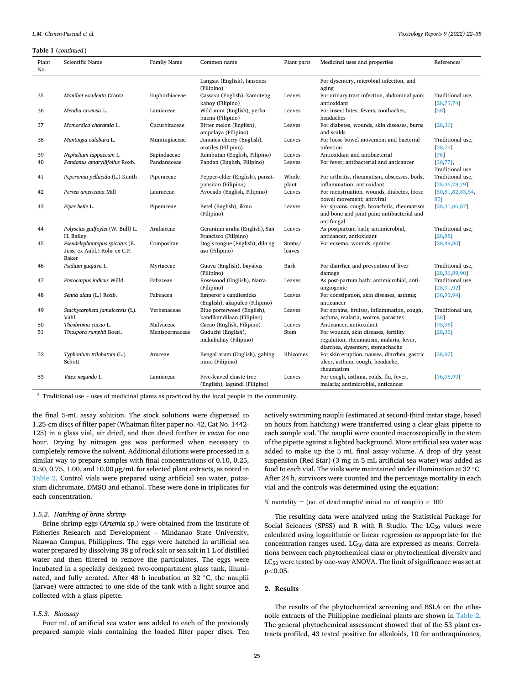#### <span id="page-4-0"></span>**Table 1** (*continued* )

| Plant<br>No. | Scientific Name                                                         | Family Name    | Plant parts<br>Common name                               |                  | Medicinal uses and properties                                                                          | References <sup>a</sup>              |
|--------------|-------------------------------------------------------------------------|----------------|----------------------------------------------------------|------------------|--------------------------------------------------------------------------------------------------------|--------------------------------------|
|              |                                                                         |                | Langsat (English), lansones<br>(Filipino)                |                  | For dysentery, microbial infection, and<br>aging                                                       |                                      |
| 35           | Manihot esculenta Crantz                                                | Euphorbiaceae  | Cassava (English), kamoteng<br>kahov (Filipino)          | Leaves           | For urinary tract infection, abdominal pain;<br>antioxidant                                            | Traditional use,<br>[28, 73, 74]     |
| 36           | Mentha arvensis L.                                                      | Lamiaceae      | Wild mint (English), yerba<br>buena (Filipino)           | Leaves           | For insect bites, fevers, toothaches,<br>headaches                                                     | [28]                                 |
| 37           | Momordica charantia L.                                                  | Cucurbitaceae  | Bitter melon (English),<br>ampalaya (Filipino)           | Leaves           | For diabetes, wounds, skin diseases, burns<br>and scalds                                               | [28, 36]                             |
| 38           | Muntingia calabura L.                                                   | Muntingiaceae  | Jamaica cherry (English),<br>aratiles (Filipino)         | Leaves           | For loose bowel movement and bacterial<br>infection                                                    | Traditional use,<br>[28, 75]         |
| 39           | Nephelium lappaceum L.                                                  | Sapindaceae    | Rambutan (English, Filipino)                             | Leaves           | Antioxidant and antibacterial                                                                          | [76]                                 |
| 40           | Pandanus amaryllifolius Roxb.                                           | Pandanaceae    | Pandan (English, Filipino)                               | Leaves           | For fever; antibacterial and anticancer                                                                | [36, 77]<br><b>Traditional</b> use   |
| 41           | Peperomia pellucida (L.) Kunth                                          | Piperaceae     | Pepper-elder (English), pansit-                          | Whole            | For arthritis, rheumatism, abscesses, boils,                                                           | Traditional use,                     |
|              |                                                                         |                | pansitan (Filipino)                                      | plant            | inflammation; antioxidant                                                                              | [28, 36, 78, 79]                     |
| 42           | Persea americana Mill                                                   | Lauraceae      | Avocado (English, Filipino)                              | Leaves           | For menstruation, wounds, diabetes, loose<br>bowel movement; antiviral                                 | [80,81,82,83,84,<br>851              |
| 43           | Piper betle L.                                                          | Piperaceae     | Betel (English), ikmo<br>(Filipino)                      | Leaves           | For sprains, cough, bronchitis, rheumatism<br>and bone and joint pain; antibacterial and<br>antifungal | [28, 31, 86, 87]                     |
| 44           | Polyscias guilfoylei (W. Bull) L.<br>H. Bailey                          | Araliaceae     | Geranium aralia (English), San<br>Francisco (Filipino)   | Leaves           | As postpartum bath; antimicrobial,<br>anticancer, antioxidant                                          | Traditional use,<br>[28,88]          |
| 45           | Pseudelephantopus spicatus (B.<br>Juss. ex Aubl.) Rohr ex C.F.<br>Baker | Compositae     | Dog's tongue (English); dila ng<br>aso (Filipino)        | Stems/<br>leaves | For eczema, wounds, sprains                                                                            | [28, 49, 80]                         |
| 46           | Psidium guajava L.                                                      | Myrtaceae      | Guava (English), bayabas<br>(Filipino)                   | Bark             | For diarrhea and prevention of liver<br>damage                                                         | Traditional use,<br>[28, 36, 89, 90] |
| 47           | Pterocarpus indicus Willd.                                              | Fabaceae       | Rosewood (English), Narra<br>(Filipino)                  | Leaves           | As post-partum bath; antimicrobial, anti-<br>angiogenic                                                | Traditional use,<br>[28, 91, 92]     |
| 48           | Senna alata (L.) Roxb.                                                  | Fabeacea       | Emperor's candlesticks<br>(English), akapulco (Filipino) | Leaves           | For constipation, skin diseases, asthma;<br>anticancer                                                 | [36, 93, 94]                         |
| 49           | Stachytarpheta jamaicensis (L).<br>Vahl                                 | Verbenaceae    | Blue porterweed (English),<br>kandikandilaan (Filipino)  | Leaves           | For sprains, bruises, inflammation, cough,<br>asthma, malaria, worms, parasites                        | Traditional use,<br>[28]             |
| 50           | Theobroma cacao L.                                                      | Malvaceae      | Cacao (English, Filipino)                                | Leaves           | Anticancer, antioxidant                                                                                | [95, 96]                             |
| 51           | Tinospora rumphii Boerl.                                                | Menispermaceae | Guduchi (English),                                       | Stem             | For wounds, skin diseases, fertility                                                                   | [28, 36]                             |
|              |                                                                         |                | makabuhay (Filipino)                                     |                  | regulation, rheumatism, malaria, fever,<br>diarrhea, dysentery, stomachache                            |                                      |
| 52           | Typhonium trilobatum (L.)<br>Schott                                     | Araceae        | Bengal arum (English), gabing<br>nuno (Filipino)         | Rhizomes         | For skin eruption, nausea, diarrhea, gastric<br>ulcer, asthma, cough, headache,<br>rheumatism          | [28, 97]                             |
| 53           | Vitex negundo L.                                                        | Lamiaceae      | Five-leaved chaste tree<br>(English), lagundi (Filipino) | Leaves           | For cough, asthma, colds, flu, fever,<br>malaria; antimicrobial, anticancer                            | [36, 98, 99]                         |

 $^{\rm a}$  Traditional use – uses of medicinal plants as practiced by the local people in the community.

the final 5-mL assay solution. The stock solutions were dispensed to 1.25-cm discs of filter paper (Whatman filter paper no. 42, Cat No. 1442- 125) in a glass vial, air dried, and then dried further *in vacuo* for one hour. Drying by nitrogen gas was performed when necessary to completely remove the solvent. Additional dilutions were processed in a similar way to prepare samples with final concentrations of 0.10, 0.25, 0.50, 0.75, 1.00, and 10.00 μg/mL for selected plant extracts, as noted in [Table 2.](#page-5-0) Control vials were prepared using artificial sea water, potassium dichromate, DMSO and ethanol. These were done in triplicates for each concentration.

### *1.5.2. Hatching of brine shrimp*

Brine shrimp eggs (*Artemia* sp.) were obtained from the Institute of Fisheries Research and Development – Mindanao State University, Naawan Campus, Philippines. The eggs were hatched in artificial sea water prepared by dissolving 38 g of rock salt or sea salt in 1 L of distilled water and then filtered to remove the particulates. The eggs were incubated in a specially designed two-compartment glass tank, illuminated, and fully aerated. After 48 h incubation at 32 ◦C, the nauplii (larvae) were attracted to one side of the tank with a light source and collected with a glass pipette.

#### *1.5.3. Bioassay*

Four mL of artificial sea water was added to each of the previously prepared sample vials containing the loaded filter paper discs. Ten actively swimming nauplii (estimated at second-third instar stage, based on hours from hatching) were transferred using a clear glass pipette to each sample vial. The nauplii were counted macroscopically in the stem of the pipette against a lighted background. More artificial sea water was added to make up the 5 mL final assay volume. A drop of dry yeast suspension (Red Star) (3 mg in 5 mL artificial sea water) was added as food to each vial. The vials were maintained under illumination at 32 ◦C. After 24 h, survivors were counted and the percentage mortality in each vial and the controls was determined using the equation:

#### % mortality = (no. of dead nauplii/ initial no. of nauplii)  $\times$  100

The resulting data were analyzed using the Statistical Package for Social Sciences (SPSS) and R with R Studio. The  $LC_{50}$  values were calculated using logarithmic or linear regression as appropriate for the concentration ranges used.  $LC_{50}$  data are expressed as means. Correlations between each phytochemical class or phytochemical diversity and  $LC_{50}$  were tested by one-way ANOVA. The limit of significance was set at p*<*0.05.

# **2. Results**

The results of the phytochemical screening and BSLA on the ethanolic extracts of the Philippine medicinal plants are shown in [Table 2](#page-5-0). The general phytochemical assessment showed that of the 53 plant extracts profiled, 43 tested positive for alkaloids, 10 for anthraquinones,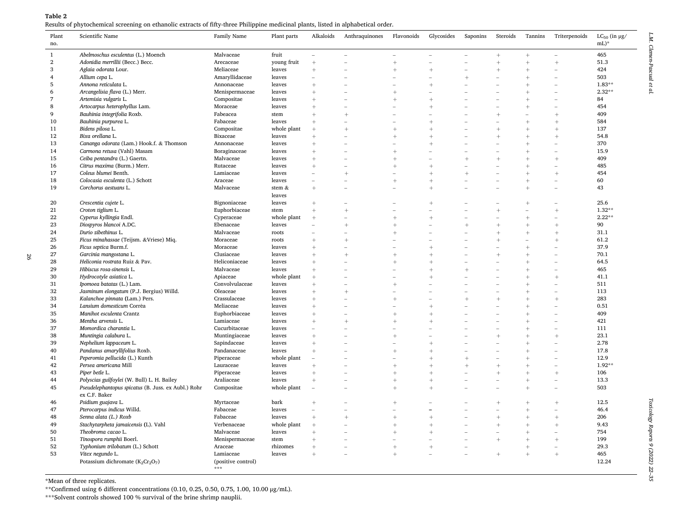<span id="page-5-0"></span>

| Plant          | Scientific Name                                     | Family Name                             | Plant parts      | Alkaloids                | Anthraquinones | Flavonoids  | Glycosides               | Saponins       | Steroids        | Tannins                     | Triterpenoids            | $LC_{50}$ (in $\mu g/$ |
|----------------|-----------------------------------------------------|-----------------------------------------|------------------|--------------------------|----------------|-------------|--------------------------|----------------|-----------------|-----------------------------|--------------------------|------------------------|
| no.            |                                                     |                                         |                  |                          |                |             |                          |                |                 |                             |                          | $mL$ <sup>*</sup>      |
| $\mathbf{1}$   | Abelmoschus esculentus (L.) Moench                  | Malvaceae                               | fruit            | ۰                        |                |             | $\overline{\phantom{a}}$ |                | $+$             | $^{+}$                      |                          | 465                    |
| $\overline{2}$ | Adonidia merrillii (Becc.) Becc.                    | Arecaceae                               | young fruit      | $^{+}$                   |                | $\ddot{}$   | $\overline{\phantom{a}}$ |                | $^{+}$          | $^{+}$                      | $^{+}$                   | 51.3                   |
| 3              | Aglaia odorata Lour.                                | Meliaceae                               | leaves           | $\overline{+}$           |                | $\ddot{}$   | $\overline{+}$           | $\overline{a}$ | $\overline{+}$  | $\overline{+}$              |                          | 424                    |
| $\overline{4}$ | Allium cepa L.                                      | Amaryllidaceae                          | leaves           |                          |                |             |                          | $^{+}$         |                 | $\overline{+}$              |                          | 503                    |
| 5              | Annona reticulata L.                                | Annonaceae                              | leaves           | $^{+}$                   |                | ۳           | $\overline{+}$           |                |                 | $^{+}$                      |                          | $1.83**$               |
| 6              | Arcangelisia flava (L.) Merr.                       | Menispermaceae                          | leaves           | $\overline{+}$           |                | $^{+}$      |                          |                |                 | $^{+}$                      |                          | $2.32**$               |
| 7              | Artemisia vulgaris L.                               | Compositae                              | leaves           | $^{+}$                   |                | $^{+}$      | $\overline{+}$           |                |                 | $\overline{+}$              |                          | 84                     |
| 8              | Artocarpus heterophyllus Lam.                       | Moraceae                                | leaves           | $^{+}$                   |                |             | $^{+}$                   |                |                 | $\overline{+}$              |                          | 454                    |
| 9              | Bauhinia integrifolia Roxb.                         | Fabeacea                                | stem             | $^{+}$                   | $^{+}$         |             |                          |                | $^{+}$          |                             | $^{+}$                   | 409                    |
| 10             | Bauhinia purpurea L.                                | Fabaceae                                | leaves           | $\ddot{}$                |                |             | $\overline{+}$           |                |                 | $\overline{+}$              |                          | 584                    |
| 11             | Bidens pilosa L.                                    | Compositae                              | whole plant      | $\overline{+}$           | $\overline{+}$ | $\ddot{}$   | $\overline{+}$           |                | $\overline{+}$  | $\overline{+}$              |                          | 137                    |
| 12             | Bixa orellana L.                                    | Bixaceae                                | leaves           | $^{+}$                   |                | $^{+}$<br>۳ | $^{+}$                   |                | $^{+}$          | $^{+}$                      |                          | 54.8<br>370            |
| 13             | Cananga odorata (Lam.) Hook.f. & Thomson            | Annonaceae                              | leaves           | $^{+}$                   |                |             | $^{+}$                   |                |                 | $\overline{+}$              |                          | 15.9                   |
| 14             | Carmona retusa (Vahl) Masam                         | Boraginaceae                            | leaves           | $\overline{+}$           |                | $^{+}$      |                          |                |                 | $\overline{+}$              | $\overline{\phantom{a}}$ | 409                    |
| 15             | Ceiba pentandra (L.) Gaertn.                        | Malvaceae                               | leaves<br>leaves | $^{+}$<br>$^{+}$         |                | $^{+}$      | $^{+}$                   | $^{+}$         | $^{+}$          | $\overline{+}$<br>$\ddot{}$ | $^{+}$                   | 485                    |
| 16<br>17       | Citrus maxima (Burm.) Merr.<br>Coleus blumei Benth. | Rutaceae<br>Lamiaceae                   | leaves           | ÷                        | $\overline{+}$ | $\ddot{}$   | $^{+}$                   | $\ddot{+}$     | ۰               | $\overline{+}$              | $^{+}$                   | 454                    |
| 18             | Colocasia esculenta (L.) Schott                     | Araceae                                 | leaves           | ÷                        |                | $^{+}$      | $^{+}$                   |                |                 | $^{+}$                      |                          | 60                     |
| 19             | Corchorus aestuans L.                               | Malvaceae                               | stem $\&$        | $^{+}$                   |                |             | $^{+}$                   |                |                 | $^{+}$                      |                          | 43                     |
|                |                                                     |                                         | leaves           |                          |                |             |                          |                |                 |                             |                          |                        |
| 20             | Crescentia cujete L.                                | Bignoniaceae                            | leaves           | $^{+}$                   |                |             | $^{+}$                   |                |                 | $^{+}$                      |                          | 25.6                   |
| 21             | Croton tiglium L.                                   | Euphorbiaceae                           | stem             | $^{+}$                   | $^{+}$         |             |                          |                | $\overline{+}$  |                             | $^{+}$                   | $1.32**$               |
| 22             | Cyperus kyllingia Endl.                             | Cyperaceae                              | whole plant      | $^{+}$                   |                | $^{+}$      | $^{+}$                   |                |                 | $^{+}$                      |                          | $2.22**$               |
| 23             | Diospyros blancoi A.DC.                             | Ebenaceae                               | leaves           |                          | $^{+}$         | $^{+}$      |                          | $+$            | $^{+}$          | $\overline{+}$              |                          | 90                     |
| 24             | Durio zibethinus L.                                 | Malvaceae                               | roots            |                          |                | $^{+}$      |                          |                | $^{+}$          | $\overline{+}$              | $^{+}$                   | 31.1                   |
| 25             | Ficus minahassae (Teijsm. & Vriese) Miq.            | Moraceae                                | roots            | $^{+}$                   | $^{+}$         |             |                          |                | $^{+}$          |                             | $^{+}$                   | 61.2                   |
| 26             | Ficus septica Burm.f.                               | Moraceae                                | leaves           | $^{+}$                   |                |             | $^{+}$                   |                |                 | $\overline{+}$              |                          | 37.9                   |
| 27             | Garcinia mangostana L.                              | Clusiaceae                              | leaves           | $\overline{+}$           | $\overline{+}$ | $^{+}$      | $^{+}$                   |                | $^{+}$          | $^{+}$                      |                          | 70.1                   |
| 28             | Heliconia rostrata Ruiz & Pav.                      | Heliconiaceae                           | leaves           | $+$                      |                | $^{+}$      | $^{+}$                   |                |                 | $\overline{+}$              |                          | 64.5                   |
| 29             | Hibiscus rosa-sinensis L                            | Malvaceae                               | leaves           | $+$                      |                |             | $+$                      | $+$            |                 | $\overline{+}$              |                          | 465                    |
| 30             | Hydrocotyle asiatica L.                             | Apiaceae                                | whole plant      | $^{+}$                   |                | ۳           | $^{+}$                   |                |                 | $\overline{+}$              | $^{+}$                   | 41.1                   |
| 31             | Ipomoea batatas (L.) Lam.                           | Convolvulaceae                          | leaves           | $^{+}$                   |                | $^{+}$      |                          |                |                 | $^{+}$                      |                          | 511                    |
| 32             | Jasminum elongatum (P.J. Bergius) Willd.            | Oleaceae                                | leaves           | $^{+}$                   | $^{+}$         |             |                          |                |                 | $\overline{+}$              |                          | 113                    |
| 33             | Kalanchoe pinnata (Lam.) Pers.                      | Crassulaceae                            | leaves           | $^{+}$                   |                | $^{+}$      |                          | $\overline{+}$ | $\overline{+}$  | $\overline{+}$              | $^{+}$                   | 283                    |
| 34             | Lansium domesticum Corrêa                           | Meliaceae                               | leaves           | $^{+}$                   |                |             | $^{+}$                   |                |                 | $\overline{+}$              |                          | 0.51                   |
| 35             | Manihot esculenta Crantz                            | Euphorbiaceae                           | leaves           | $+$                      |                | $^{+}$      | $^{+}$                   |                |                 | $^{+}$                      |                          | 409                    |
| 36             | Mentha arvensis L.                                  | Lamiaceae                               | leaves           | $^{+}$                   | $\overline{+}$ | $^{+}$      | $^{+}$                   |                |                 | $\overline{+}$              |                          | 421                    |
| 37             | Momordica charantia L.                              | Cucurbitaceae                           | leaves           | $\overline{\phantom{a}}$ |                |             |                          |                |                 | $\overline{+}$              | $\overline{\phantom{a}}$ | 111                    |
| 38             | Muntingia calabura L.                               | Muntingiaceae                           | leaves           | $\overline{+}$           |                | $^{+}$      |                          |                | $^{+}$          | $\overline{+}$              | $^{+}$                   | 23.1                   |
| 39             | Nephelium lappaceum L.                              | Sapindaceae                             | leaves           | $\overline{+}$           |                |             | $^{+}$                   |                |                 | $\ddot{}$                   |                          | 2.78                   |
| 40             | Pandanus amaryllifolius Roxb.                       | Pandanaceae                             | leaves           | $^{+}$                   |                | $^{+}$      | $^{+}$                   |                |                 | $\overline{+}$              |                          | 17.8                   |
| 41             | Peperomia pellucida (L.) Kunth                      | Piperaceae                              | whole plant      |                          |                |             | $^{+}$                   | $\overline{+}$ |                 | $\overline{+}$              |                          | 12.9                   |
| 42             | Persea americana Mill                               | Lauraceae                               | leaves           | $\overline{+}$           |                | $^{+}$      | $^{+}$                   | $^{+}$         | $+$             | $^{+}$                      |                          | $1.92**$               |
| 43             | Piper betle L.                                      | Piperaceae                              | leaves           | $^{+}$                   |                | $^{+}$      | $^{+}$                   |                | $^{+}$          | $\overline{+}$              | $^{+}$                   | 106                    |
| 44             | Polyscias guilfoylei (W. Bull) L. H. Bailey         | Araliaceae                              | leaves           | $^{+}$                   |                | $^{+}$      | $^{+}$                   |                |                 | $^{+}$                      |                          | 13.3                   |
| 45             | Pseudelephantopus spicatus (B. Juss. ex Aubl.) Rohr | Compositae                              | whole plant      | ÷                        |                | $^{+}$      | $^{+}$                   |                |                 | $^{+}$                      |                          | 503                    |
|                | ex C.F. Baker                                       |                                         |                  |                          |                |             |                          |                |                 |                             |                          |                        |
| 46             | Psidium guajava L.                                  | Myrtaceae                               | bark             | $^{+}$                   |                | $^{+}$      |                          |                | $^{+}$          | $^{+}$                      | $^{+}$                   | 12.5                   |
| 47             | Pterocarpus indicus Willd.                          | Fabaceae                                | leaves           | $\overline{a}$           |                |             | L.                       |                |                 | $^{+}$                      |                          | 46.4                   |
| 48             | Senna alata (L.) Roxb                               | Fabaceae                                | leaves           | $^{+}$                   | $\overline{+}$ | $^{+}$      | $^{+}$                   |                | $+$             | $\overline{+}$              | $\overline{+}$           | 206                    |
| 49             | Stachytarpheta jamaicensis (L). Vahl                | Verbenaceae                             | whole plant      | $^{+}$                   |                | $^{+}$      | $^{+}$                   |                | $^{+}$          | $\overline{+}$              | $^{+}$                   | 9.43                   |
| 50             | Theobroma cacao L.                                  | Malvaceae                               | leaves           | $\overline{+}$           |                | $^{+}$      | $^{+}$                   |                |                 | $^{+}$                      |                          | 754                    |
| 51             | Tinospora rumphii Boerl.                            | Menispermaceae                          | stem             | $^{+}$                   |                |             |                          |                | $^{+}$          | $^{+}$                      | $^{+}$                   | 199                    |
| 52             | Typhonium trilobatum (L.) Schott                    | Araceae                                 | rhizomes         | $\overline{+}$           |                | $^{+}$      | $^{+}$                   |                |                 | $^{+}$                      |                          | 29.3                   |
| 53             | Vitex negundo L.                                    | Lamiaceae                               | leaves           | $^{+}$                   |                | $^{+}$      |                          |                | $\! + \!\!\!\!$ | $^{+}$                      | $^{+}$                   | 465                    |
|                | Potassium dichromate ( $K_2Cr_2O_7$ )               | (positive control)<br>$\star\star\star$ |                  |                          |                |             |                          |                |                 |                             |                          | 12.24                  |
|                |                                                     |                                         |                  |                          |                |             |                          |                |                 |                             |                          |                        |

\*Mean of three replicates.

\*\*Confirmed using 6 different concentrations  $(0.10, 0.25, 0.50, 0.75, 1.00, 10.00 \mu g/mL)$ .

\*\*\*Solvent controls showed 100 % survival of the brine shrimp nauplii.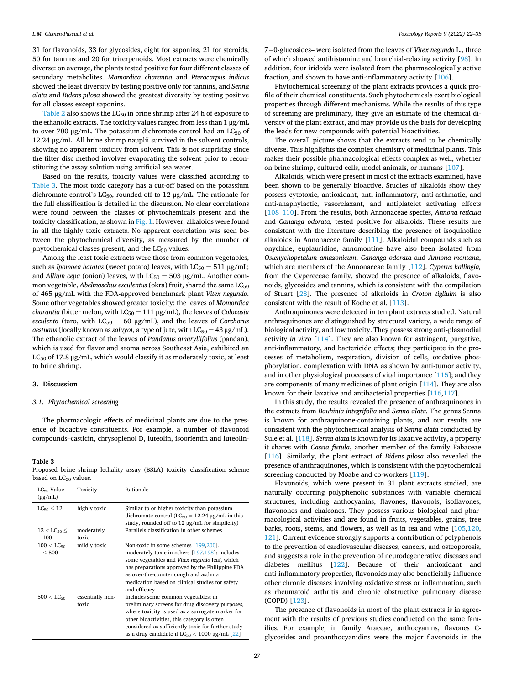<span id="page-6-0"></span>31 for flavonoids, 33 for glycosides, eight for saponins, 21 for steroids, 50 for tannins and 20 for triterpenoids. Most extracts were chemically diverse: on average, the plants tested positive for four different classes of secondary metabolites. *Momordica charantia* and *Pterocarpus indicus*  showed the least diversity by testing positive only for tannins, and *Senna alata* and *Bidens pilosa* showed the greatest diversity by testing positive for all classes except saponins.

[Table 2](#page-5-0) also shows the  $LC_{50}$  in brine shrimp after 24 h of exposure to the ethanolic extracts. The toxicity values ranged from less than 1 μg/mL to over 700 μg/mL. The potassium dichromate control had an  $LC_{50}$  of 12.24 μg/mL. All brine shrimp nauplii survived in the solvent controls, showing no apparent toxicity from solvent. This is not surprising since the filter disc method involves evaporating the solvent prior to reconstituting the assay solution using artificial sea water.

Based on the results, toxicity values were classified according to Table 3. The most toxic category has a cut-off based on the potassium dichromate control's  $LC_{50}$ , rounded off to 12  $\mu$ g/mL. The rationale for the full classification is detailed in the discussion. No clear correlations were found between the classes of phytochemicals present and the toxicity classification, as shown in [Fig. 1.](#page-7-0) However, alkaloids were found in all the highly toxic extracts. No apparent correlation was seen between the phytochemical diversity, as measured by the number of phytochemical classes present, and the  $LC_{50}$  values.

Among the least toxic extracts were those from common vegetables, such as *Ipomoea batatas* (sweet potato) leaves, with  $LC_{50} = 511 \mu g/mL$ ; and *Allium cepa* (onion) leaves, with  $LC_{50} = 503 \mu g/mL$ . Another common vegetable, *Abelmoschus esculentus* (okra) fruit, shared the same LC<sub>50</sub> of 465 μg/mL with the FDA-approved benchmark plant *Vitex negundo*. Some other vegetables showed greater toxicity: the leaves of *Momordica charantia* (bitter melon, with  $LC_{50} = 111 \mu g/mL$ ), the leaves of *Colocasia*  $e$ *sculenta* (taro, with  $LC_{50} = 60 \text{ µg/mL}$ ), and the leaves of *Corchorus aestuans* (locally known as *saluyot*, a type of jute, with  $LC_{50} = 43 \mu g/mL$ ). The ethanolic extract of the leaves of *Pandanus amaryllifolius* (pandan), which is used for flavor and aroma across Southeast Asia, exhibited an LC<sub>50</sub> of 17.8  $\mu$ g/mL, which would classify it as moderately toxic, at least to brine shrimp.

#### **3. Discussion**

#### *3.1. Phytochemical screening*

The pharmacologic effects of medicinal plants are due to the presence of bioactive constituents. For example, a number of flavonoid compounds–casticin, chrysoplenol D, luteolin, isoorientin and luteolin-

# **Table 3**

Proposed brine shrimp lethality assay (BSLA) toxicity classification scheme based on  $LC_{50}$  values.

| $LC_{50}$ Value<br>$(\mu g/mL)$    | Toxicity                  | Rationale                                                                                                                                                                                                                                                                                                   |
|------------------------------------|---------------------------|-------------------------------------------------------------------------------------------------------------------------------------------------------------------------------------------------------------------------------------------------------------------------------------------------------------|
| $LC_{50} \leq 12$                  | highly toxic              | Similar to or higher toxicity than potassium<br>dichromate control ( $LC_{50} = 12.24 \mu g/mL$ in this<br>study, rounded off to $12 \mu g/mL$ for simplicity)                                                                                                                                              |
| $12 <$ LC <sub>50</sub> $<$<br>100 | moderately<br>toxic       | Parallels classification in other schemes                                                                                                                                                                                                                                                                   |
| $100 < \text{LC}_{50}$<br>< 500    | mildly toxic              | Non-toxic in some schemes [199,200],<br>moderately toxic in others [197,198]; includes<br>some vegetables and Vitex negundo leaf, which<br>has preparations approved by the Philippine FDA<br>as over-the-counter cough and asthma<br>medication based on clinical studies for safety<br>and efficacy       |
| $500 < L C_{50}$                   | essentially non-<br>toxic | Includes some common vegetables; in<br>preliminary screens for drug discovery purposes,<br>where toxicity is used as a surrogate marker for<br>other bioactivities, this category is often<br>considered as sufficiently toxic for further study<br>as a drug candidate if $LC_{50}$ < 1000 $\mu$ g/mL [22] |

7− 0-glucosides– were isolated from the leaves of *Vitex negundo* L., three of which showed antihistamine and bronchial-relaxing activity [[98\]](#page-12-0). In addition, four iridoids were isolated from the pharmacologically active fraction, and shown to have anti-inflammatory activity [[106](#page-12-0)].

Phytochemical screening of the plant extracts provides a quick profile of their chemical constituents. Such phytochemicals exert biological properties through different mechanisms. While the results of this type of screening are preliminary, they give an estimate of the chemical diversity of the plant extract, and may provide us the basis for developing the leads for new compounds with potential bioactivities.

The overall picture shows that the extracts tend to be chemically diverse. This highlights the complex chemistry of medicinal plants. This makes their possible pharmacological effects complex as well, whether on brine shrimp, cultured cells, model animals, or humans [\[107\]](#page-12-0).

Alkaloids, which were present in most of the extracts examined, have been shown to be generally bioactive. Studies of alkaloids show they possess cytotoxic, antioxidant, anti-inflammatory, anti-asthmatic, and anti-anaphylactic, vasorelaxant, and antiplatelet activating effects [108–[110\]](#page-12-0). From the results, both Annonaceae species, *Annona reticula*  and *Cananga odorata,* tested positive for alkaloids. These results are consistent with the literature describing the presence of isoquinoline alkaloids in Annonaceae family [\[111\]](#page-12-0). Alkaloidal compounds such as onychine, euplauridine, annomontine have also been isolated from *Ostenychopetalum amazonicum*, *Cananga odorata* and *Annona montana*, which are members of the Annonaceae family [\[112\]](#page-12-0). *Cyperus kallingia,*  from the Cypereceae family, showed the presence of alkaloids, flavonoids, glycosides and tannins, which is consistent with the compilation of Stuart [\[28](#page-11-0)]. The presence of alkaloids in *Croton tigliuim* is also consistent with the result of Koche et al. [\[113\]](#page-13-0).

Anthraquinones were detected in ten plant extracts studied. Natural anthraquinones are distinguished by structural variety, a wide range of biological activity, and low toxicity. They possess strong anti-plasmodial activity *in vitro* [\[114\]](#page-13-0). They are also known for astringent, purgative, anti-inflammatory, and bactericide effects; they participate in the processes of metabolism, respiration, division of cells, oxidative phosphorylation, complexation with DNA as shown by anti-tumor activity, and in other physiological processes of vital importance [\[115\]](#page-13-0); and they are components of many medicines of plant origin [\[114\]](#page-13-0). They are also known for their laxative and antibacterial properties [\[116,117](#page-13-0)].

In this study, the results revealed the presence of anthraquinones in the extracts from *Bauhinia integrifolia* and *Senna alata.* The genus Senna is known for anthraquinone-containing plants, and our results are consistent with the phytochemical analysis of S*enna alata* conducted by Sule et al. [\[118\]](#page-13-0). *Senna alata* is known for its laxative activity, a property it shares with *Cassia fistula*, another member of the family Fabaceae [[116](#page-13-0)]. Similarly, the plant extract of *Bidens pilosa* also revealed the presence of anthraquinones, which is consistent with the phytochemical screening conducted by Moabe and co-workers [\[119\]](#page-13-0).

Flavonoids, which were present in 31 plant extracts studied, are naturally occurring polyphenolic substances with variable chemical structures, including anthocyanins, flavones, flavonols, isoflavones, flavonones and chalcones. They possess various biological and pharmacological activities and are found in fruits, vegetables, grains, tree barks, roots, stems, and flowers, as well as in tea and wine [\[105,](#page-12-0)[120](#page-13-0), [121](#page-13-0)]. Current evidence strongly supports a contribution of polyphenols to the prevention of cardiovascular diseases, cancers, and osteoporosis, and suggests a role in the prevention of neurodegenerative diseases and diabetes mellitus [\[122\]](#page-13-0). Because of their antioxidant and anti-inflammatory properties, flavonoids may also beneficially influence other chronic diseases involving oxidative stress or inflammation, such as rheumatoid arthritis and chronic obstructive pulmonary disease (COPD) [\[123\]](#page-13-0).

The presence of flavonoids in most of the plant extracts is in agreement with the results of previous studies conducted on the same families. For example, in family Araceae, anthocyanins, flavones Cglycosides and proanthocyanidins were the major flavonoids in the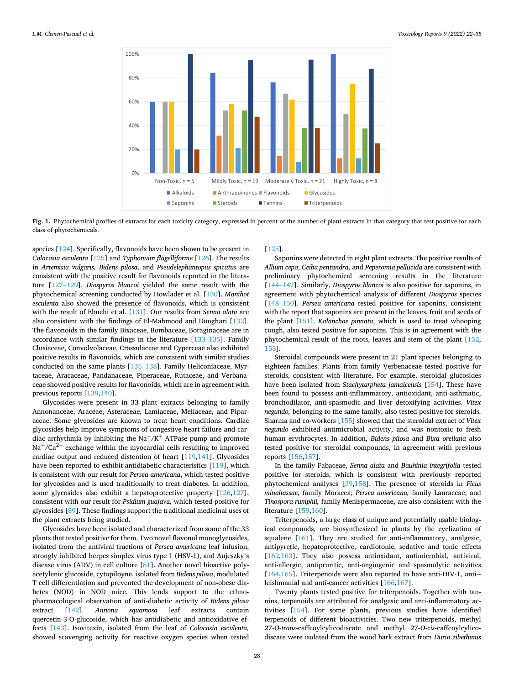<span id="page-7-0"></span>

**Fig. 1.** Phytochemical profiles of extracts for each toxicity category, expressed in percent of the number of plant extracts in that category that test positive for each class of phytochemicals.

species [[124](#page-13-0)]. Specifically, flavonoids have been shown to be present in *Colocasia esculenta* [[125](#page-13-0)] and *Typhonuim flagelliforme* [[126](#page-13-0)]. The results in *Artemisia vulgaris, Bidens pilosa*, and *Pseudelephantopus spicatus* are consistent with the positive result for flavonoids reported in the literature [[127](#page-13-0)–129]. *Diospyros blancoi* yielded the same result with the phytochemical screening conducted by Howlader et al. [\[130\]](#page-13-0). *Manihot esculenta* also showed the presence of flavonoids, which is consistent with the result of Ebuehi et al. [[131](#page-13-0)]. Our results from *Senna alata* are also consistent with the findings of El-Mahmood and Doughari [[132](#page-13-0)]. The flavonoids in the family Bixaceae, Bombaceae, Boraginaceae are in accordance with similar findings in the literature [133–[135](#page-13-0)]. Family Clusiaceae, Convolvolaceae, Crassulaceae and Cyperceae also exhibited positive results in flavonoids, which are consistent with similar studies conducted on the same plants [\[135](#page-13-0)–138]. Family Heliconiaceae, Myrtaceae, Aracaceae, Pandanaceae, Piperaceae, Rutaceae, and Verbanaceae showed positive results for flavonoids, which are in agreement with previous reports [[139,140\]](#page-13-0).

Glycosides were present in 33 plant extracts belonging to family Annonanceae, Araceae, Asteraceae, Lamiaceae, Meliaceae, and Piparaceae. Some glycosides are known to treat heart conditions. Cardiac glycosides help improve symptoms of congestive heart failure and cardiac arrhythmia by inhibiting the  $Na^+/K^+$  ATPase pump and promote  $Na<sup>+</sup>/Ca<sup>2+</sup>$  exchange within the myocardial cells resulting to improved cardiac output and reduced distention of heart [\[119,141\]](#page-13-0). Glycosides have been reported to exhibit antidiabetic characteristics [[119](#page-13-0)], which is consistent with our result for *Persea americana*, which tested positive for glycosides and is used traditionally to treat diabetes. In addition, some glycosides also exhibit a hepatoprotective property [[126](#page-13-0),[127](#page-13-0)], consistent with our result for *Psidium guajava,* which tested positive for glycosides [[89\]](#page-12-0). These findings support the traditional medicinal uses of the plant extracts being studied.

Glycosides have been isolated and characterized from some of the 33 plants that tested positive for them. Two novel flavonol monoglycosides, isolated from the antiviral fractions of *Persea americana* leaf infusion, strongly inhibited herpes simplex virus type 1 (HSV-1), and Aujeszky's disease virus (ADV) in cell culture [[81\]](#page-12-0). Another novel bioactive polyacetylenic glucoside, cytopiloyne, isolated from *Bidens pilosa*, modulated T cell differentiation and prevented the development of non-obese diabetes (NOD) in NOD mice. This lends support to the ethnopharmacological observation of anti-diabetic activity of *Bidens pilosa*  extract [\[142\]](#page-13-0). *Annona squamosa* leaf extracts contain quercetin-3-O-glucoside, which has antidiabetic and antioxidative effects [\[143\]](#page-13-0). Isovitexin, isolated from the leaf of *Colocasia esculenta,*  showed scavenging activity for reactive oxygen species when tested

#### [[125](#page-13-0)].

Saponins were detected in eight plant extracts. The positive results of *Allium cepa*, *Ceiba pentandra*, and *Peperomia pellucida* are consistent with preliminary phytochemical screening results in the literature [144–[147\]](#page-13-0). Similarly, *Diospyros blancoi* is also positive for saponins, in agreement with phytochemical analysis of different *Diospyros* species [148–[150\]](#page-13-0). *Persea americana* tested positive for saponins, consistent with the report that saponins are present in the leaves, fruit and seeds of the plant [\[151\]](#page-13-0). *Kalanchoe pinnata*, which is used to treat whooping cough, also tested positive for saponins. This is in agreement with the phytochemical result of the roots, leaves and stem of the plant [[152](#page-13-0), [153](#page-13-0)].

Steroidal compounds were present in 21 plant species belonging to eighteen families. Plants from family Verbenaceae tested positive for steroids, consistent with literature. For example, steroidal glucosides have been isolated from *Stachytarpheta jamaicensis* [\[154\]](#page-13-0). These have been found to possess anti-inflammatory, antioxidant, anti-asthmatic, bronchodilator, anti-spasmodic and liver detoxifying activities. *Vitex negundo,* belonging to the same family, also tested positive for steroids. Sharma and co-workers [[155](#page-13-0)] showed that the steroidal extract of *Vitex negundo* exhibited antimicrobial activity, and was nontoxic to fresh human erythrocytes. In addition, *Bidens pilosa* and *Bixa orellana* also tested positive for steroidal compounds, in agreement with previous reports [\[156,157](#page-13-0)].

In the family Fabaceae, *Senna alata* and *Bauhinia integrifolia* tested positive for steroids, which is consistent with previously reported phytochemical analyses [[39,](#page-11-0)[158](#page-13-0)]. The presence of steroids in *Ficus minahassae*, family Moracea; *Persea americana,* family Lauraceae; and *Tinospora rumphii,* family Menispermaceae, are also consistent with the literature [\[159,160](#page-13-0)].

Triterpenoids, a large class of unique and potentially usable biological compounds, are biosynthesized in plants by the cyclization of squalene [\[161\]](#page-13-0). They are studied for anti-inflammatory, analgesic, antipyretic, hepatoprotective, cardiotonic, sedative and tonic effects [[162](#page-13-0),[163](#page-13-0)]. They also possess antioxidant, antimicrobial, antiviral, anti-allergic, antipruritic, anti-angiogenic and spasmolytic activities [[164](#page-13-0),[165](#page-13-0)]. Triterpenoids were also reported to have anti-HIV-1, anti-leishmanial and anti-cancer activities [\[166,167](#page-13-0)].

Twenty plants tested positive for triterpenoids. Together with tannins, terpenoids are attributed for analgesic and anti-inflammatory activities [[154](#page-13-0)]. For some plants, previous studies have identified terpenoids of different bioactivities. Two new triterpenoids, methyl 27-*O*-*trans*-caffeoylcylicodiscate and methyl 27-*O*-*cis*-caffeoylcylicodiscate were isolated from the wood bark extract from *Durio zibethinus*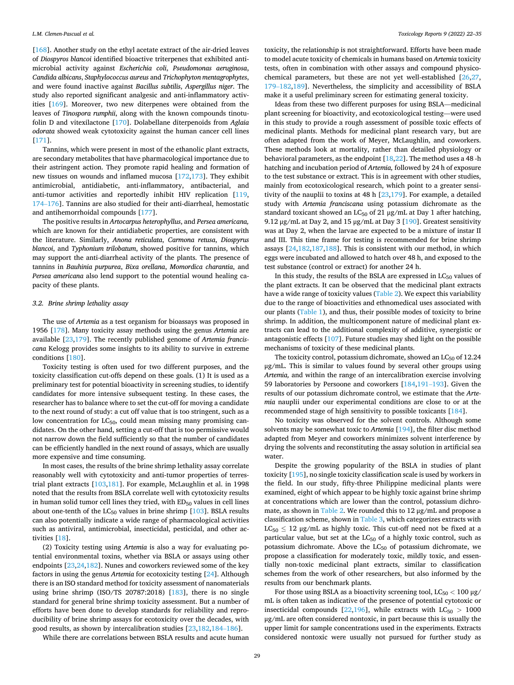[[168](#page-13-0)]. Another study on the ethyl acetate extract of the air-dried leaves of *Diospyros blancoi* identified bioactive triterpenes that exhibited antimicrobial activity against *Escherichia coli*, *Pseudomonas aeruginosa*, *Candida albicans*, *Staphylococcus aureus* and *Trichophyton mentagrophytes*, and were found inactive against *Bacillus subtilis*, *Aspergillus niger*. The study also reported significant analgesic and anti-inflammatory activities [[169](#page-13-0)]. Moreover, two new diterpenes were obtained from the leaves of *Tinospora rumphii*, along with the known compounds tinotufolin D and vitexilactone [\[170\]](#page-13-0). Dolabellane diterpenoids from *Aglaia odorata* showed weak cytotoxicity against the human cancer cell lines [[171](#page-13-0)].

Tannins, which were present in most of the ethanolic plant extracts, are secondary metabolites that have pharmacological importance due to their astringent action. They promote rapid healing and formation of new tissues on wounds and inflamed mucosa [\[172,173](#page-13-0)]. They exhibit antimicrobial, antidiabetic, anti-inflammatory, antibacterial, and anti-tumor activities and reportedly inhibit HIV replication [\[119](#page-13-0), 174–[176\]](#page-13-0). Tannins are also studied for their anti-diarrheal, hemostatic and antihemorrhoidal compounds [\[177\]](#page-14-0).

The positive results in *Artocarpus heterophyllus*, and *Persea americana,*  which are known for their antidiabetic properties, are consistent with the literature. Similarly, *Anona reticulata*, *Carmona retusa*, *Diospyrus blancoi*, and *Typhonium trilobatum*, showed positive for tannins, which may support the anti-diarrheal activity of the plants. The presence of tannins in *Bauhinia purpurea*, *Bixa orellana*, *Momordica charantia*, and *Persea americana* also lend support to the potential wound healing capacity of these plants.

# *3.2. Brine shrimp lethality assay*

The use of *Artemia* as a test organism for bioassays was proposed in 1956 [[178](#page-14-0)]. Many toxicity assay methods using the genus *Artemia* are available [[23,](#page-11-0)[179](#page-14-0)]. The recently published genome of *Artemia franciscana* Kelogg provides some insights to its ability to survive in extreme conditions [\[180](#page-14-0)].

Toxicity testing is often used for two different purposes, and the toxicity classification cut-offs depend on these goals. (1) It is used as a preliminary test for potential bioactivity in screening studies, to identify candidates for more intensive subsequent testing. In these cases, the researcher has to balance where to set the cut-off for moving a candidate to the next round of study: a cut off value that is too stringent, such as a low concentration for LC<sub>50</sub>, could mean missing many promising candidates. On the other hand, setting a cut-off that is too permissive would not narrow down the field sufficiently so that the number of candidates can be efficiently handled in the next round of assays, which are usually more expensive and time consuming.

In most cases, the results of the brine shrimp lethality assay correlate reasonably well with cytotoxicity and anti-tumor properties of terrestrial plant extracts [\[103](#page-12-0)[,181\]](#page-14-0). For example, McLaughlin et al. in 1998 noted that the results from BSLA correlate well with cytotoxicity results in human solid tumor cell lines they tried, with  $ED_{50}$  values in cell lines about one-tenth of the  $LC_{50}$  values in brine shrimp [\[103\]](#page-12-0). BSLA results can also potentially indicate a wide range of pharmacological activities such as antiviral, antimicrobial, insecticidal, pesticidal, and other activities [\[18](#page-11-0)].

(2) Toxicity testing using *Artemia* is also a way for evaluating potential environmental toxins, whether via BSLA or assays using other endpoints [[23,24,](#page-11-0)[182\]](#page-14-0). Nunes and coworkers reviewed some of the key factors in using the genus *Artemia* for ecotoxicity testing [\[24](#page-11-0)]. Although there is an ISO standard method for toxicity assessment of nanomaterials using brine shrimp (ISO/TS 20787:2018) [[183](#page-14-0)], there is no single standard for general brine shrimp toxicity assessment. But a number of efforts have been done to develop standards for reliability and reproducibility of brine shrimp assays for ecotoxicity over the decades, with good results, as shown by intercalibration studies [\[23](#page-11-0)[,182,184](#page-14-0)–186].

toxicity, the relationship is not straightforward. Efforts have been made to model acute toxicity of chemicals in humans based on *Artemia* toxicity tests, often in combination with other assays and compound physicochemical parameters, but these are not yet well-established [\[26,27](#page-11-0), [179](#page-14-0)–182,[189](#page-14-0)]. Nevertheless, the simplicity and accessibility of BSLA make it a useful preliminary screen for estimating general toxicity.

Ideas from these two different purposes for using BSLA—medicinal plant screening for bioactivity, and ecotoxicological testing—were used in this study to provide a rough assessment of possible toxic effects of medicinal plants. Methods for medicinal plant research vary, but are often adapted from the work of Meyer, McLaughlin, and coworkers. These methods look at mortality, rather than detailed physiology or behavioral parameters, as the endpoint [[18,22](#page-11-0)]. The method uses a 48 -h hatching and incubation period of *Artemia,* followed by 24 h of exposure to the test substance or extract. This is in agreement with other studies, mainly from ecotoxicological research, which point to a greater sensitivity of the nauplii to toxins at 48 h [[23,](#page-11-0)[179](#page-14-0)]. For example, a detailed study with *Artemia franciscana* using potassium dichromate as the standard toxicant showed an  $LC_{50}$  of 21  $\mu$ g/mL at Day 1 after hatching, 9.12  $\mu$ g/mL at Day 2, and 15  $\mu$ g/mL at Day 3 [\[190\]](#page-14-0). Greatest sensitivity was at Day 2, when the larvae are expected to be a mixture of instar II and III. This time frame for testing is recommended for brine shrimp assays [\[24](#page-11-0),[182,187,188](#page-14-0)]. This is consistent with our method, in which eggs were incubated and allowed to hatch over 48 h, and exposed to the test substance (control or extract) for another 24 h.

In this study, the results of the BSLA are expressed in  $LC_{50}$  values of the plant extracts. It can be observed that the medicinal plant extracts have a wide range of toxicity values ([Table 2\)](#page-5-0). We expect this variability due to the range of bioactivities and ethnomedical uses associated with our plants ([Table 1](#page-3-0)), and thus, their possible modes of toxicity to brine shrimp. In addition, the multicomponent nature of medicinal plant extracts can lead to the additional complexity of additive, synergistic or antagonistic effects [\[107\]](#page-12-0). Future studies may shed light on the possible mechanisms of toxicity of these medicinal plants.

The toxicity control, potassium dichromate, showed an  $LC_{50}$  of 12.24 μg/mL. This is similar to values found by several other groups using *Artemia,* and within the range of an intercalibration exercise involving 59 laboratories by Persoone and coworkers [[184](#page-14-0),191–[193\]](#page-14-0). Given the results of our potassium dichromate control, we estimate that the *Artemia* nauplii under our experimental conditions are close to or at the recommended stage of high sensitivity to possible toxicants [[184](#page-14-0)].

No toxicity was observed for the solvent controls. Although some solvents may be somewhat toxic to *Artemia* [[194](#page-14-0)], the filter disc method adapted from Meyer and coworkers minimizes solvent interference by drying the solvents and reconstituting the assay solution in artificial sea water.

Despite the growing popularity of the BSLA in studies of plant toxicity [\[195\]](#page-14-0), no single toxicity classification scale is used by workers in the field. In our study, fifty-three Philippine medicinal plants were examined, eight of which appear to be highly toxic against brine shrimp at concentrations which are lower than the control, potassium dichro-mate, as shown in [Table 2](#page-5-0). We rounded this to  $12 \mu g/mL$  and propose a classification scheme, shown in [Table 3,](#page-6-0) which categorizes extracts with  $LC_{50} \le 12$  µg/mL as highly toxic. This cut-off need not be fixed at a particular value, but set at the  $LC_{50}$  of a highly toxic control, such as potassium dichromate. Above the  $LC_{50}$  of potassium dichromate, we propose a classification for moderately toxic, mildly toxic, and essentially non-toxic medicinal plant extracts, similar to classification schemes from the work of other researchers, but also informed by the results from our benchmark plants.

For those using BSLA as a bioactivity screening tool, LC<sub>50</sub> < 100 μg/ mL is often taken as indicative of the presence of potential cytotoxic or insecticidal compounds [[22,](#page-11-0)[196](#page-14-0)], while extracts with  $LC_{50} > 1000$ μg/mL are often considered nontoxic, in part because this is usually the upper limit for sample concentrations used in the experiments. Extracts considered nontoxic were usually not pursued for further study as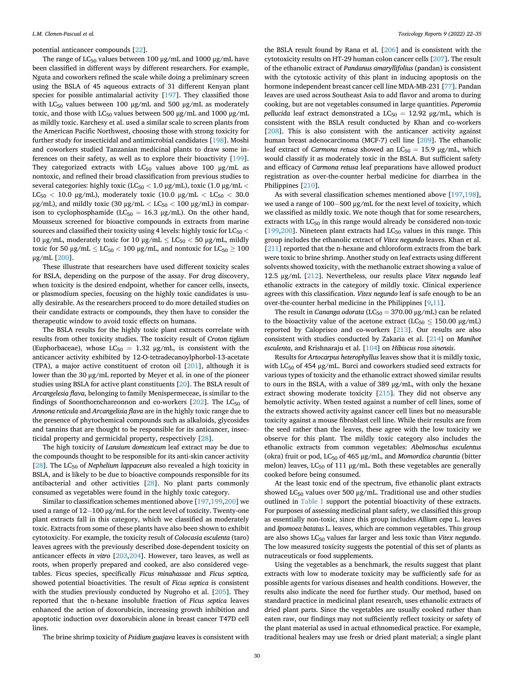potential anticancer compounds [[22\]](#page-11-0).

The range of  $LC_{50}$  values between 100 μg/mL and 1000 μg/mL have been classified in different ways by different researchers. For example, Nguta and coworkers refined the scale while doing a preliminary screen using the BSLA of 45 aqueous extracts of 31 different Kenyan plant species for possible antimalarial activity [[197](#page-14-0)]. They classified those with LC<sub>50</sub> values between 100  $\mu$ g/mL and 500  $\mu$ g/mL as moderately toxic, and those with LC<sub>50</sub> values between 500 μg/mL and 1000 μg/mL as mildly toxic. Karchesy et al. used a similar scale to screen plants from the American Pacific Northwest, choosing those with strong toxicity for further study for insecticidal and antimicrobial candidates [\[198\]](#page-14-0). Moshi and coworkers studied Tanzanian medicinal plants to draw some inferences on their safety, as well as to explore their bioactivity [[199](#page-14-0)]. They categorized extracts with  $LC_{50}$  values above 100  $\mu$ g/mL as nontoxic, and refined their broad classification from previous studies to several categories: highly toxic (LC50 *<* 1.0 μg/mL), toxic (1.0 μg/mL *<* LC<sub>50</sub> < 10.0 μg/mL), moderately toxic (10.0 μg/mL < LC<sub>50</sub> < 30.0 μg/mL), and mildly toxic (30 μg/mL < LC<sub>50</sub> < 100 μg/mL) in comparison to cyclophosphamide ( $LC_{50} = 16.3 \text{ µg/mL}$ ). On the other hand, Mousseux screened for bioactive compounds in extracts from marine sources and classified their toxicity using 4 levels: highly toxic for LC<sub>50</sub>  $<$ 10 μg/mL, moderately toxic for 10 μg/mL  $\lt$  LC<sub>50</sub>  $\lt$  50 μg/mL, mildly toxic for 50 μg/mL  $\leq$  LC<sub>50</sub>  $<$  100 μg/mL, and nontoxic for LC<sub>50</sub>  $\geq$  100 μg/mL [[200](#page-14-0)].

These illustrate that researchers have used different toxicity scales for BSLA, depending on the purpose of the assay. For drug discovery, when toxicity is the desired endpoint, whether for cancer cells, insects, or plasmodium species, focusing on the highly toxic candidates is usually desirable. As the researchers proceed to do more detailed studies on their candidate extracts or compounds, they then have to consider the therapeutic window to avoid toxic effects on humans.

The BSLA results for the highly toxic plant extracts correlate with results from other toxicity studies. The toxicity result of *Croton tiglium*  (Euphorbaceae), whose  $LC_{50} = 1.32 \mu g/mL$ , is consistent with the anticancer activity exhibited by 12-O-tetradecanoylphorbol-13-acetate (TPA), a major active constituent of croton oil [[201](#page-14-0)], although it is lower than the 30 μg/mL reported by Meyer et al. in one of the pioneer studies using BSLA for active plant constituents [[20\]](#page-11-0). The BSLA result of *Arcangelesia flava*, belonging to family Menispermeceae, is similar to the findings of Soonthornchareonnon and co-workers  $[202]$ . The LC<sub>50</sub> of *Annona reticula* and *Arcangelisia flava* are in the highly toxic range due to the presence of phytochemical compounds such as alkaloids, glycosides and tannins that are thought to be responsible for its anticancer, insecticidal property and germicidal property, respectively [[28\]](#page-11-0).

The high toxicity of *Lansium domesticum* leaf extract may be due to the compounds thought to be responsible for its anti-skin cancer activity [[28\]](#page-11-0). The LC<sub>50</sub> of *Nephelium lappaceum* also revealed a high toxicity in BSLA, and is likely to be due to bioactive compounds responsible for its antibacterial and other activities [\[28](#page-11-0)]. No plant parts commonly consumed as vegetables were found in the highly toxic category.

Similar to classification schemes mentioned above [[197,199,200](#page-14-0)] we used a range of 12−100 µg/mL for the next level of toxicity. Twenty-one plant extracts fall in this category, which we classified as moderately toxic. Extracts from some of these plants have also been shown to exhibit cytotoxicity. For example, the toxicity result of *Colocasia esculenta* (taro) leaves agrees with the previously described dose-dependent toxicity on anticancer effects *in vitro* [\[203,204](#page-14-0)]. However, taro leaves, as well as roots, when properly prepared and cooked, are also considered vegetables. Ficus species, specifically *Ficus minahassae* and *Ficus septica,*  showed potential bioactivities. The result of *Ficus septica* is consistent with the studies previously conducted by Nugroho et al. [[205](#page-14-0)]. They reported that the n-hexane insoluble fraction of *Ficus septica* leaves enhanced the action of doxorubicin, increasing growth inhibition and apoptotic induction over doxorubicin alone in breast cancer T47D cell lines.

The brine shrimp toxicity of *Psidium guajava* leaves is consistent with

the BSLA result found by Rana et al. [\[206\]](#page-14-0) and is consistent with the cytotoxicity results on HT-29 human colon cancer cells [[207](#page-14-0)]. The result of the ethanolic extract of *Pandanus amaryllifolius* (pandan) is consistent with the cytotoxic activity of this plant in inducing apoptosis on the hormone independent breast cancer cell line MDA-MB-231 [\[77](#page-12-0)]. Pandan leaves are used across Southeast Asia to add flavor and aroma to during cooking, but are not vegetables consumed in large quantities. *Peperomia pellucida* leaf extract demonstrated a  $LC_{50} = 12.92 \mu g/mL$ , which is consistent with the BSLA result conducted by Khan and co-workers [[208](#page-14-0)]. This is also consistent with the anticancer activity against human breast adenocarcinoma (MCF-7) cell line [[209](#page-14-0)]. The ethanolic leaf extract of *Carmona retusa* showed an  $LC_{50} = 15.9$  µg/mL, which would classify it as moderately toxic in the BSLA. But sufficient safety and efficacy of *Carmona retusa* leaf preparations have allowed product registration as over-the-counter herbal medicine for diarrhea in the Philippines [[210](#page-14-0)].

As with several classification schemes mentioned above [[197](#page-14-0),[198](#page-14-0)], we used a range of 100− 500 μg/mL for the next level of toxicity, which we classified as mildly toxic. We note though that for some researchers, extracts with  $LC_{50}$  in this range would already be considered non-toxic [[199](#page-14-0),[200](#page-14-0)]. Nineteen plant extracts had  $LC_{50}$  values in this range. This group includes the ethanolic extract of *Vitex negundo* leaves. Khan et al. [[211](#page-14-0)] reported that the n-hexane and chloroform extracts from the bark were toxic to brine shrimp. Another study on leaf extracts using different solvents showed toxicity, with the methanolic extract showing a value of 12.5 μg/mL [[212](#page-14-0)]. Nevertheless, our results place *Vitex negundo* leaf ethanolic extracts in the category of mildly toxic. Clinical experience agrees with this classification. *Vitex negundo* leaf is safe enough to be an over-the-counter herbal medicine in the Philippines [\[9,11\]](#page-11-0).

The result in *Cananga odorata* ( $LC_{50} = 370.00 \mu g/mL$ ) can be related to the bioactivity value of the acetone extract ( $LC_{50} \leq 150.00 \text{ }\mu\text{g/mL}$ ) reported by Caloprisco and co-workers [\[213\]](#page-14-0). Our results are also consistent with studies conducted by Zakaria et al. [[214](#page-14-0)] on *Manihot esculenta*, and Krishnaraju et al. [[104](#page-12-0)] on *Hibiscus rosa sinensis*.

Results for *Artocarpus heterophyllus* leaves show that it is mildly toxic, with  $LC_{50}$  of 454  $\mu$ g/mL. Burci and coworkers studied seed extracts for various types of toxicity and the ethanolic extract showed similar results to ours in the BSLA, with a value of 389 μg/mL, with only the hexane extract showing moderate toxicity [\[215](#page-14-0)]. They did not observe any hemolytic activity. When tested against a number of cell lines, some of the extracts showed activity against cancer cell lines but no measurable toxicity against a mouse fibroblast cell line. While their results are from the seed rather than the leaves, these agree with the low toxicity we observe for this plant. The mildly toxic category also includes the ethanolic extracts from common vegetables: *Abelmoschus esculentus*  (okra) fruit or pod, LC50 of 465 μg/mL, and *Momordica charantia* (bitter melon) leaves,  $LC_{50}$  of 111  $\mu$ g/mL. Both these vegetables are generally cooked before being consumed.

At the least toxic end of the spectrum, five ethanolic plant extracts showed  $LC_{50}$  values over 500  $\mu$ g/mL. Traditional use and other studies outlined in [Table 1](#page-3-0) support the potential bioactivity of these extracts. For purposes of assessing medicinal plant safety, we classified this group as essentially non-toxic, since this group includes *Allium cepa* L. leaves and *Ipomoea batatas* L. leaves, which are common vegetables. This group are also shows LC50 values far larger and less toxic than *Vitex negundo*. The low measured toxicity suggests the potential of this set of plants as nutraceuticals or food supplements.

Using the vegetables as a benchmark, the results suggest that plant extracts with low to moderate toxicity may be sufficiently safe for as possible agents for various diseases and health conditions. However, the results also indicate the need for further study. Our method, based on standard practice in medicinal plant research, uses ethanolic extracts of dried plant parts. Since the vegetables are usually cooked rather than eaten raw, our findings may not sufficiently reflect toxicity or safety of the plant material as used in actual ethnomedical practice. For example, traditional healers may use fresh or dried plant material; a single plant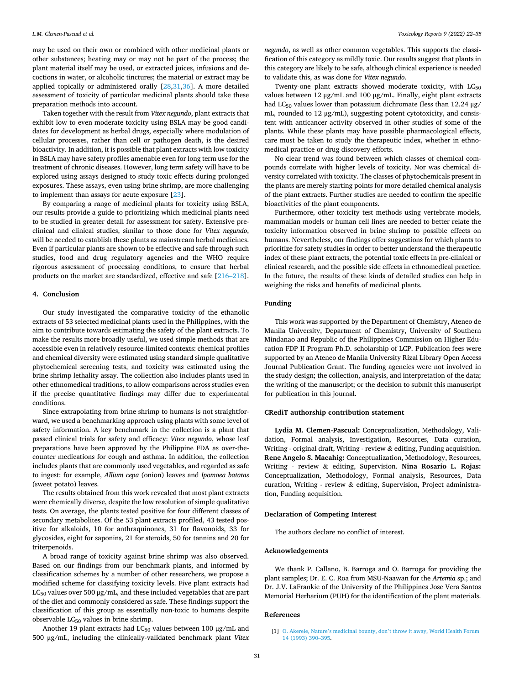<span id="page-10-0"></span>may be used on their own or combined with other medicinal plants or other substances; heating may or may not be part of the process; the plant material itself may be used, or extracted juices, infusions and decoctions in water, or alcoholic tinctures; the material or extract may be applied topically or administered orally [\[28,31](#page-11-0),[36\]](#page-11-0). A more detailed assessment of toxicity of particular medicinal plants should take these preparation methods into account.

Taken together with the result from *Vitex negundo*, plant extracts that exhibit low to even moderate toxicity using BSLA may be good candidates for development as herbal drugs, especially where modulation of cellular processes, rather than cell or pathogen death, is the desired bioactivity. In addition, it is possible that plant extracts with low toxicity in BSLA may have safety profiles amenable even for long term use for the treatment of chronic diseases. However, long term safety will have to be explored using assays designed to study toxic effects during prolonged exposures. These assays, even using brine shrimp, are more challenging to implement than assays for acute exposure [[23\]](#page-11-0).

By comparing a range of medicinal plants for toxicity using BSLA, our results provide a guide to prioritizing which medicinal plants need to be studied in greater detail for assessment for safety. Extensive preclinical and clinical studies, similar to those done for *Vitex negundo*, will be needed to establish these plants as mainstream herbal medicines. Even if particular plants are shown to be effective and safe through such studies, food and drug regulatory agencies and the WHO require rigorous assessment of processing conditions, to ensure that herbal products on the market are standardized, effective and safe [\[216](#page-14-0)–218].

#### **4. Conclusion**

Our study investigated the comparative toxicity of the ethanolic extracts of 53 selected medicinal plants used in the Philippines, with the aim to contribute towards estimating the safety of the plant extracts. To make the results more broadly useful, we used simple methods that are accessible even in relatively resource-limited contexts: chemical profiles and chemical diversity were estimated using standard simple qualitative phytochemical screening tests, and toxicity was estimated using the brine shrimp lethality assay. The collection also includes plants used in other ethnomedical traditions, to allow comparisons across studies even if the precise quantitative findings may differ due to experimental conditions.

Since extrapolating from brine shrimp to humans is not straightforward, we used a benchmarking approach using plants with some level of safety information. A key benchmark in the collection is a plant that passed clinical trials for safety and efficacy: *Vitex negundo*, whose leaf preparations have been approved by the Philippine FDA as over-thecounter medications for cough and asthma. In addition, the collection includes plants that are commonly used vegetables, and regarded as safe to ingest: for example, *Allium cepa* (onion) leaves and *Ipomoea batatas*  (sweet potato) leaves.

The results obtained from this work revealed that most plant extracts were chemically diverse, despite the low resolution of simple qualitative tests. On average, the plants tested positive for four different classes of secondary metabolites. Of the 53 plant extracts profiled, 43 tested positive for alkaloids, 10 for anthraquinones, 31 for flavonoids, 33 for glycosides, eight for saponins, 21 for steroids, 50 for tannins and 20 for triterpenoids.

A broad range of toxicity against brine shrimp was also observed. Based on our findings from our benchmark plants, and informed by classification schemes by a number of other researchers, we propose a modified scheme for classifying toxicity levels. Five plant extracts had  $LC_{50}$  values over 500  $\mu$ g/mL, and these included vegetables that are part of the diet and commonly considered as safe. These findings support the classification of this group as essentially non-toxic to humans despite observable LC50 values in brine shrimp.

Another 19 plant extracts had  $LC_{50}$  values between 100  $\mu$ g/mL and 500 μg/mL, including the clinically-validated benchmark plant *Vitex* 

*negundo*, as well as other common vegetables. This supports the classification of this category as mildly toxic. Our results suggest that plants in this category are likely to be safe, although clinical experience is needed to validate this, as was done for *Vitex negundo*.

Twenty-one plant extracts showed moderate toxicity, with  $LC_{50}$ values between 12 μg/mL and 100 μg/mL. Finally, eight plant extracts had LC<sub>50</sub> values lower than potassium dichromate (less than 12.24  $\mu$ g/ mL, rounded to 12 μg/mL), suggesting potent cytotoxicity, and consistent with anticancer activity observed in other studies of some of the plants. While these plants may have possible pharmacological effects, care must be taken to study the therapeutic index, whether in ethnomedical practice or drug discovery efforts.

No clear trend was found between which classes of chemical compounds correlate with higher levels of toxicity. Nor was chemical diversity correlated with toxicity. The classes of phytochemicals present in the plants are merely starting points for more detailed chemical analysis of the plant extracts. Further studies are needed to confirm the specific bioactivities of the plant components.

Furthermore, other toxicity test methods using vertebrate models, mammalian models or human cell lines are needed to better relate the toxicity information observed in brine shrimp to possible effects on humans. Nevertheless, our findings offer suggestions for which plants to prioritize for safety studies in order to better understand the therapeutic index of these plant extracts, the potential toxic effects in pre-clinical or clinical research, and the possible side effects in ethnomedical practice. In the future, the results of these kinds of detailed studies can help in weighing the risks and benefits of medicinal plants.

#### **Funding**

This work was supported by the Department of Chemistry, Ateneo de Manila University, Department of Chemistry, University of Southern Mindanao and Republic of the Philippines Commission on Higher Education FDP II Program Ph.D. scholarship of LCP. Publication fees were supported by an Ateneo de Manila University Rizal Library Open Access Journal Publication Grant. The funding agencies were not involved in the study design; the collection, analysis, and interpretation of the data; the writing of the manuscript; or the decision to submit this manuscript for publication in this journal.

# **CRediT authorship contribution statement**

**Lydia M. Clemen-Pascual:** Conceptualization, Methodology, Validation, Formal analysis, Investigation, Resources, Data curation, Writing - original draft, Writing - review & editing, Funding acquisition. **Rene Angelo S. Macahig:** Conceptualization, Methodology, Resources, Writing - review & editing, Supervision. **Nina Rosario L. Rojas:**  Conceptualization, Methodology, Formal analysis, Resources, Data curation, Writing - review & editing, Supervision, Project administration, Funding acquisition.

# **Declaration of Competing Interest**

The authors declare no conflict of interest.

#### **Acknowledgements**

We thank P. Callano, B. Barroga and O. Barroga for providing the plant samples; Dr. E. C. Roa from MSU-Naawan for the *Artemia* sp.; and Dr. J.V. LaFrankie of the University of the Philippines Jose Vera Santos Memorial Herbarium (PUH) for the identification of the plant materials.

#### **References**

<sup>[1]</sup> O. Akerele, Nature's medicinal bounty, don'[t throw it away, World Health Forum](http://refhub.elsevier.com/S2214-7500(21)00208-0/sbref0005)  [14 \(1993\) 390](http://refhub.elsevier.com/S2214-7500(21)00208-0/sbref0005)–395.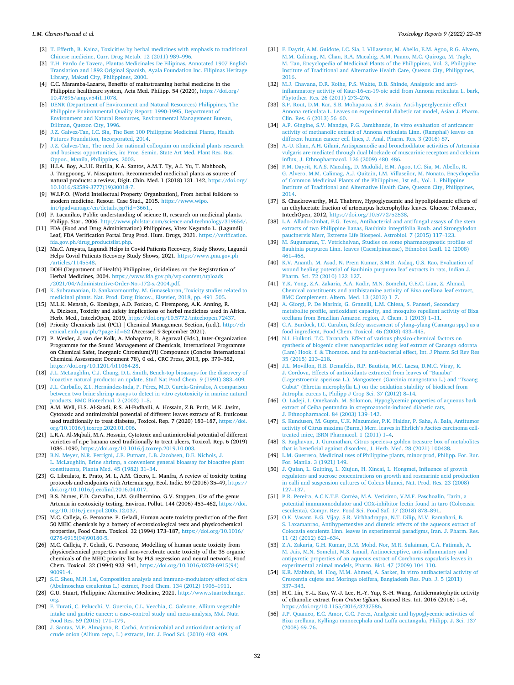#### <span id="page-11-0"></span>*L.M. Clemen-Pascual et al.*

- [2] [T. Efferth, B. Kaina, Toxicities by herbal medicines with emphasis to traditional](http://refhub.elsevier.com/S2214-7500(21)00208-0/sbref0010)  [Chinese medicine, Curr. Drug Metab. 12 \(2011\) 989](http://refhub.elsevier.com/S2214-7500(21)00208-0/sbref0010)–996.
- [3] [T.H. Pardo de Tavera, Plantas Medicinales De Filipinas, Annotated 1907 English](http://refhub.elsevier.com/S2214-7500(21)00208-0/sbref0015)  [Translation and 1892 Original Spanish, Ayala Foundation Inc. Filipinas Heritage](http://refhub.elsevier.com/S2214-7500(21)00208-0/sbref0015)  [Library, Makati City, Philippines, 2000.](http://refhub.elsevier.com/S2214-7500(21)00208-0/sbref0015)
- [4] C.C. Maramba-Lazarte, Benefits of mainstreaming herbal medicine in the Philippine healthcare system, Acta Med. Philipp. 54 (2020), https://doi.org [10.47895/amp.v54i1.1078.](https://doi.org/10.47895/amp.v54i1.1078)
- [5] [DENR \(Department of Environment and Natural Resources\) Philippines, The](http://refhub.elsevier.com/S2214-7500(21)00208-0/sbref0025) [Philippine Environmental Quality Report: 1990-1995, Department of](http://refhub.elsevier.com/S2214-7500(21)00208-0/sbref0025)  [Environment and Natural Resources, Environmental Management Bureau,](http://refhub.elsevier.com/S2214-7500(21)00208-0/sbref0025) [Diliman, Quezon City, 1996](http://refhub.elsevier.com/S2214-7500(21)00208-0/sbref0025).
- [6] [J.Z. Galvez-Tan, I.C. Sia, The Best 100 Philippine Medicinal Plants, Health](http://refhub.elsevier.com/S2214-7500(21)00208-0/sbref0030) [Futures Foundation, Incorporated, 2014](http://refhub.elsevier.com/S2214-7500(21)00208-0/sbref0030).
- [7] [J.Z. Galvez-Tan, The need for national colloquim on medicinal plants research](http://refhub.elsevier.com/S2214-7500(21)00208-0/sbref0035)  [and business opportunities, in: Proc. Semin. State Art Med. Plant Res. Bus.](http://refhub.elsevier.com/S2214-7500(21)00208-0/sbref0035) [Oppor., Manila, Philippines, 2003](http://refhub.elsevier.com/S2214-7500(21)00208-0/sbref0035).
- [8] H.I.A. Boy, A.J.H. Rutilla, K.A. Santos, A.M.T. Ty, A.I. Yu, T. Mahboob, J. Tangpoong, V. Nissapatorn, Recommended medicinal plants as source of natural products: a review, Digit. Chin. Med. 1 (2018) 131–142, [https://doi.org/](https://doi.org/10.1016/S2589-3777(19)30018-7)  [10.1016/S2589-3777\(19\)30018-7.](https://doi.org/10.1016/S2589-3777(19)30018-7)
- [9] W.I.P.O. (World Intellectual Property Organization), From herbal folklore to modern medicine. Resour. Case Stud., 2015. [https://www.wipo.](https://www.wipo.int/ipadvantage/en/details.jsp?id=3661,)  [int/ipadvantage/en/details.jsp?id](https://www.wipo.int/ipadvantage/en/details.jsp?id=3661,)=3661,.
- [10] F. Lacanilao, Public understanding of science II, research on medicinal plants. Philipp. Star., 2006. [http://www.philstar.com/science-and-technology/319654/.](http://www.philstar.com/science-and-technology/319654/)
- [11] FDA (Food and Drug Administration) Philippines, Vitex Negundo L. (Lagundi) Leaf, FDA Verification Portal Drug Prod. Hum. Drugs, 2021. [https://verification.](https://verification.fda.gov.ph/drug_productslist.php)  [fda.gov.ph/drug\\_productslist.php.](https://verification.fda.gov.ph/drug_productslist.php)
- [12] Ma.C. Arayata, Lagundi Helps in Covid Patients Recovery, Study Shows, Lagundi Helps Covid Patients Recovery Study Shows, 2021. [https://www.pna.gov.ph](https://www.pna.gov.ph/articles/1145548) [/articles/1145548.](https://www.pna.gov.ph/articles/1145548)
- [13] DOH (Department of Health) Philippines, Guidelines on the Registration of Herbal Medicines, 2004. [https://www.fda.gov.ph/wp-content/uploads](https://www.fda.gov.ph/wp-content/uploads/2021/04/Administrative-Order-No.-172-s.-2004.pdf)  [/2021/04/Administrative-Order-No.-172-s.-2004.pdf.](https://www.fda.gov.ph/wp-content/uploads/2021/04/Administrative-Order-No.-172-s.-2004.pdf)
- [14] [K. Subramanian, D. Sankaramourthy, M. Gunasekaran, Toxicity studies related to](http://refhub.elsevier.com/S2214-7500(21)00208-0/sbref0070)  [medicinal plants. Nat. Prod. Drug Discov., Elsevier, 2018, pp. 491](http://refhub.elsevier.com/S2214-7500(21)00208-0/sbref0070)–505.
- [15] M.L.K. Mensah, G. Komlaga, A.D. Forkuo, C. Firempong, A.K. Anning, R. A. Dickson, Toxicity and safety implications of herbal medicines used in Africa. Herb. Med., IntechOpen, 2019, [https://doi.org/10.5772/intechopen.72437.](https://doi.org/10.5772/intechopen.72437)
- [16] Priority Chemicals List (PCL) | Chemical Management Section, (n.d.). [http://ch](http://chemical.emb.gov.ph/?page_id=52) [emical.emb.gov.ph/?page\\_id](http://chemical.emb.gov.ph/?page_id=52)=52 (Accessed 9 September 2021).
- [17] P. Wexler, J. van der Kolk, A. Mohapatra, R. Agarwal (Eds.), Inter-Organization Programme for the Sound Management of Chemicals, International Programme on Chemical Safet, Inorganic Chromium(VI) Compounds (Concise International Chemical Assessment Document 78), 0 ed., CRC Press, 2013, pp. 379–382, [https://doi.org/10.1201/b11064-28.](https://doi.org/10.1201/b11064-28)
- [18] [J.L. McLaughlin, C.J. Chang, D.L. Smith, Bench-top bioassays for the discovery of](http://refhub.elsevier.com/S2214-7500(21)00208-0/sbref0090)  [bioactive natural products: an update, Stud Nat Prod Chem. 9 \(1991\) 383](http://refhub.elsevier.com/S2214-7500(21)00208-0/sbref0090)–409.
- [19] [J.L. Carballo, Z.L. Hern](http://refhub.elsevier.com/S2214-7500(21)00208-0/sbref0095)ández-Inda, P. Pérez, M.D. García-Grávalos, A comparison [between two brine shrimp assays to detect in vitro cytotoxicity in marine natural](http://refhub.elsevier.com/S2214-7500(21)00208-0/sbref0095)  [products, BMC Biotechnol. 2 \(2002\) 1](http://refhub.elsevier.com/S2214-7500(21)00208-0/sbref0095)–5.
- [20] A.M. Weli, H.S. Al-Saadi, R.S. Al-Fudhaili, A. Hossain, Z.B. Putit, M.K. Jasim, Cytotoxic and antimicrobial potential of different leaves extracts of R. fruticosus used traditionally to treat diabetes, Toxicol. Rep. 7 (2020) 183–187, [https://doi.](https://doi.org/10.1016/j.toxrep.2020.01.006)  [org/10.1016/j.toxrep.2020.01.006](https://doi.org/10.1016/j.toxrep.2020.01.006).
- [21] L.R.A. Al-Mqbali, M.A. Hossain, Cytotoxic and antimicrobial potential of different varieties of ripe banana used traditionally to treat ulcers, Toxicol. Rep. 6 (2019) 1086–1090, <https://doi.org/10.1016/j.toxrep.2019.10.003>.
- [22] [B.N. Meyer, N.R. Ferrigni, J.E. Putnam, L.B. Jacobsen, D.E. Nichols, J.](http://refhub.elsevier.com/S2214-7500(21)00208-0/sbref0110)  [L. McLaughlin, Brine shrimp, a convenient general bioassay for bioactive plant](http://refhub.elsevier.com/S2214-7500(21)00208-0/sbref0110) [constituents, Planta Med. 45 \(1982\) 31](http://refhub.elsevier.com/S2214-7500(21)00208-0/sbref0110)–34.
- [23] G. Libralato, E. Prato, M. L, A.M. Cicero, L. Manfra, A review of toxicity testing protocols and endpoints with Artermia spp, Ecol. Indic. 69 (2016) 35-49, https: [doi.org/10.1016/j.ecolind.2016.04.017.](https://doi.org/10.1016/j.ecolind.2016.04.017)
- [24] B.S. Nunes, F.D. Carvalho, L.M. Guilhermino, G.V. Stappen, Use of the genus Artemia in ecotoxicity testing, Environ. Pollut. 144 (2006) 453–462, [https://doi.](https://doi.org/10.1016/j.envpol.2005.12.037)  rg/10.1016/j.envpol.2005.12.037.
- [25] M.C. Calleja, G. Persoone, P. Geladi, Human acute toxicity prediction of the first 50 MEIC chemicals by a battery of ecotoxicological tests and physicochemical properties, Food Chem. Toxicol. 32 (1994) 173–187, [https://doi.org/10.1016/](https://doi.org/10.1016/0278-6915(94)90180-5) [0278-6915\(94\)90180-5](https://doi.org/10.1016/0278-6915(94)90180-5).
- [26] M.C. Calleja, P. Geladi, G. Persoone, Modelling of human acute toxicity from physicochemical properties and non-vertebrate acute toxicity of the 38 organic chemicals of the MEIC priority list by PLS regression and neural network, Food Chem. Toxicol. 32 (1994) 923–941, [https://doi.org/10.1016/0278-6915\(94\)](https://doi.org/10.1016/0278-6915(94)90091-4)  [90091-4.](https://doi.org/10.1016/0278-6915(94)90091-4)
- [27] [S.C. Sheu, M.H. Lai, Composition analysis and immuno-modulatory effect of okra](http://refhub.elsevier.com/S2214-7500(21)00208-0/sbref0135)  [\(Abelmoschus esculentus L.\) extract, Food Chem. 134 \(2012\) 1906](http://refhub.elsevier.com/S2214-7500(21)00208-0/sbref0135)–1911.
- [28] G.U. Stuart, Philippine Alternative Medicine, 2021. http://www.stuartxchange. [org](http://www.stuartxchange.org).
- [29] [F. Turati, C. Pelucchi, V. Guercio, C.L. Vecchia, C. Galeone, Allium vegetable](http://refhub.elsevier.com/S2214-7500(21)00208-0/sbref0145) intake and gastric cancer: a case–[control study and meta-analysis, Mol. Nutr.](http://refhub.elsevier.com/S2214-7500(21)00208-0/sbref0145)  [Food Res. 59 \(2015\) 171](http://refhub.elsevier.com/S2214-7500(21)00208-0/sbref0145)–179.
- [30] J. Santas, M.P. Almajano, R. Carbó, Antimicrobial and antioxidant activity of [crude onion \(Allium cepa, L.\) extracts, Int. J. Food Sci. \(2010\) 403](http://refhub.elsevier.com/S2214-7500(21)00208-0/sbref0150)–409.
- [31] [F. Dayrit, A.M. Guidote, I.C. Sia, I. Villasenor, M. Abello, E.M. Agoo, R.G. Alvero,](http://refhub.elsevier.com/S2214-7500(21)00208-0/sbref0155)  [M.M. Calimag, M. Chan, R.A. Macahig, A.M. Paano, M.C. Quiroga, M. Tagle,](http://refhub.elsevier.com/S2214-7500(21)00208-0/sbref0155) [M. Tan, Encyclopedia of Medicinal Plants of the Philippines, Vol. 2, Philippine](http://refhub.elsevier.com/S2214-7500(21)00208-0/sbref0155)  [Institute of Traditional and Alternative Health Care, Quezon City, Philippines,](http://refhub.elsevier.com/S2214-7500(21)00208-0/sbref0155)  [2016](http://refhub.elsevier.com/S2214-7500(21)00208-0/sbref0155).
- [32] [M.J. Chavana, D.R. Kolhe, P.S. Wakte, D.B. Shinde, Analgesic and anti](http://refhub.elsevier.com/S2214-7500(21)00208-0/sbref0160)[inflammatory activity of Kaur-16-en-19-oic acid from Annona reticulata L. bark,](http://refhub.elsevier.com/S2214-7500(21)00208-0/sbref0160)  [Phytother. Res. 26 \(2011\) 273](http://refhub.elsevier.com/S2214-7500(21)00208-0/sbref0160)–276.
- [33] [S.P. Rout, D.M. Kar, S.B. Mohapatra, S.P. Swain, Anti-hyperglycemic effect](http://refhub.elsevier.com/S2214-7500(21)00208-0/sbref0165)  [Annona reticulata L. Leaves on experimental diabetic rat model, Asian J. Pharm.](http://refhub.elsevier.com/S2214-7500(21)00208-0/sbref0165)  [Clin. Res. 6 \(2013\) 56](http://refhub.elsevier.com/S2214-7500(21)00208-0/sbref0165)–60.
- [34] [A.P. Gingine, S.V. Mandge, P.G. Jamkhande, In vitro evaluation of anticancer](http://refhub.elsevier.com/S2214-7500(21)00208-0/sbref0170)  [activity of methanolic extract of Annona reticulata Linn. \(Ramphal\) leaves on](http://refhub.elsevier.com/S2214-7500(21)00208-0/sbref0170)  [different human cancer cell lines, J. Anal. Pharm. Res. 3 \(2016\) 87.](http://refhub.elsevier.com/S2214-7500(21)00208-0/sbref0170)
- [35] [A.-U. Khan, A.H. Gilani, Antispasmodic and bronchodilator activities of Artemisia](http://refhub.elsevier.com/S2214-7500(21)00208-0/sbref0175)  [vulgaris are mediated through dual blockade of muscarinic receptors and calcium](http://refhub.elsevier.com/S2214-7500(21)00208-0/sbref0175)  [influx, J. Ethnopharmacol. 126 \(2009\) 480](http://refhub.elsevier.com/S2214-7500(21)00208-0/sbref0175)–486.
- [36] [F.M. Dayrit, R.A.S. Macahig, D. Madulid, E.M. Agoo, I.C. Sia, M. Abello, R.](http://refhub.elsevier.com/S2214-7500(21)00208-0/sbref0180) G. Alvero, M.M. Calimag, A.J. Quitain, I.M. Villaseñor, M. Nonato, Encyclopedia [of Common Medicinal Plants of the Philippines, 1st ed., Vol. 1, Philippine](http://refhub.elsevier.com/S2214-7500(21)00208-0/sbref0180) [Institute of Traditional and Alternative Health Care, Quezon City, Philippines,](http://refhub.elsevier.com/S2214-7500(21)00208-0/sbref0180)  [2014](http://refhub.elsevier.com/S2214-7500(21)00208-0/sbref0180).
- [37] S. Chackrewarthy, M.I. Thabrew, Hypoglycaemic and hypolipidaemic effects of an ethylacetate fraction of artocarpus heterophyllus leaves. Glucose Tolerance, IntechOpen, 2012, [https://doi.org/10.5772/52538.](https://doi.org/10.5772/52538)
- [38] [L.A. Allado-Ombat, F.G. Teves, Antibacterial and antifungal assays of the stem](http://refhub.elsevier.com/S2214-7500(21)00208-0/sbref0190) [extracts of two Philippine lianas, Bauhinia integrifolia Roxb. and Strongylodon](http://refhub.elsevier.com/S2214-7500(21)00208-0/sbref0190) [paucinervis Merr, Extreme Life Biospeol. Astrobiol. 7 \(2015\) 117](http://refhub.elsevier.com/S2214-7500(21)00208-0/sbref0190)–123.
- [39] [M. Sugumaran, T. Vetrichelvan, Studies on some pharmacognostic profiles of](http://refhub.elsevier.com/S2214-7500(21)00208-0/sbref0195) [Bauhinia purpurea Linn. leaves \(Caesalpinaceae\), Ethnobot Leafl. 12 \(2008\)](http://refhub.elsevier.com/S2214-7500(21)00208-0/sbref0195)  461–[468.](http://refhub.elsevier.com/S2214-7500(21)00208-0/sbref0195)
- [40] [K.V. Ananth, M. Asad, N. Prem Kumar, S.M.B. Asdaq, G.S. Rao, Evaluation of](http://refhub.elsevier.com/S2214-7500(21)00208-0/sbref0200) [wound healing potential of Bauhinia purpurea leaf extracts in rats, Indian J.](http://refhub.elsevier.com/S2214-7500(21)00208-0/sbref0200) [Pharm. Sci. 72 \(2010\) 122](http://refhub.elsevier.com/S2214-7500(21)00208-0/sbref0200)–127.
- [41] [Y.K. Yong, Z.A. Zakaria, A.A. Kadir, M.N. Somchit, G.E.C. Lian, Z. Ahmad,](http://refhub.elsevier.com/S2214-7500(21)00208-0/sbref0205)  [Chemical constituents and antihistamine activity of Bixa orellana leaf extract,](http://refhub.elsevier.com/S2214-7500(21)00208-0/sbref0205) [BMC Complement. Altern. Med. 13 \(2013\) 1](http://refhub.elsevier.com/S2214-7500(21)00208-0/sbref0205)–7.
- [42] [A. Giorgi, P. De Marinis, G. Granelli, L.M. Chiesa, S. Panseri, Secondary](http://refhub.elsevier.com/S2214-7500(21)00208-0/sbref0210) [metabolite profile, antioxidant capacity, and mosquito repellent activity of Bixa](http://refhub.elsevier.com/S2214-7500(21)00208-0/sbref0210)  [orellana from Brazilian Amazon region, J. Chem. 1 \(2013\) 1](http://refhub.elsevier.com/S2214-7500(21)00208-0/sbref0210)–11.
- [43] [G.A. Burdock, I.G. Carabin, Safety assessment of ylang](http://refhub.elsevier.com/S2214-7500(21)00208-0/sbref0215)–ylang (Cananga spp.) as a [food ingredient, Food Chem. Toxicol. 46 \(2008\) 433](http://refhub.elsevier.com/S2214-7500(21)00208-0/sbref0215)–445.
- [44] [N.I. Hulkoti, T.C. Taranath, Effect of various physico-chemical factors on](http://refhub.elsevier.com/S2214-7500(21)00208-0/sbref0220) [synthesis of biogenic silver nanoparticles using leaf extract of Cananga odorata](http://refhub.elsevier.com/S2214-7500(21)00208-0/sbref0220)  (Lam) Hook. f. & [Thomson. and its anti-bacterial effect, Int. J Pharm Sci Rev Res](http://refhub.elsevier.com/S2214-7500(21)00208-0/sbref0220)  [35 \(2015\) 213](http://refhub.elsevier.com/S2214-7500(21)00208-0/sbref0220)–218.
- [45] [J.L. Movillon, R.B. Demafelis, R.P. Bautista, M.C. Lacsa, D.M.C. Viray, K.](http://refhub.elsevier.com/S2214-7500(21)00208-0/sbref0225) [J. Cordova, Effects of antioxidants extracted from leaves of](http://refhub.elsevier.com/S2214-7500(21)00208-0/sbref0225) "Banaba" [\(Lagerstroemia speciosa L.\), Mangosteen \(Garcinia mangostana L.\) and](http://refhub.elsevier.com/S2214-7500(21)00208-0/sbref0225) "Tsaang Gubat" [\(Ehretia microphylla L.\) on the oxidation stability of biodiesel from](http://refhub.elsevier.com/S2214-7500(21)00208-0/sbref0225) [Jatropha curcas L, Philipp J Crop Sci. 37 \(2012\) 8](http://refhub.elsevier.com/S2214-7500(21)00208-0/sbref0225)–14.
- [46] [O. Ladeji, I. Omekarah, M. Solomon, Hypoglycemic properties of aqueous bark](http://refhub.elsevier.com/S2214-7500(21)00208-0/sbref0230)  [extract of Ceiba pentandra in streptozotocin-induced diabetic rats,](http://refhub.elsevier.com/S2214-7500(21)00208-0/sbref0230) [J. Ethnopharmacol. 84 \(2003\) 139](http://refhub.elsevier.com/S2214-7500(21)00208-0/sbref0230)–142.
- [47] [S. Kundusen, M. Gupta, U.K. Mazumder, P.K. Haldar, P. Saha, A. Bala, Antitumor](http://refhub.elsevier.com/S2214-7500(21)00208-0/sbref0235)  [activity of Citrus maxima \(Burm.\) Merr. leaves in Ehrlich](http://refhub.elsevier.com/S2214-7500(21)00208-0/sbref0235)'s Ascites carcinoma cell[treated mice, ISRN Pharmacol. 1 \(2011\) 1](http://refhub.elsevier.com/S2214-7500(21)00208-0/sbref0235)–4.
- [48] [S. Raghavan, J. Gurunathan, Citrus species-a golden treasure box of metabolites](http://refhub.elsevier.com/S2214-7500(21)00208-0/sbref0240)  [that is beneficial against disorders, J. Herb. Med. 28 \(2021\) 100438.](http://refhub.elsevier.com/S2214-7500(21)00208-0/sbref0240)
- [49] [L.M. Guerrero, Medicinal uses of Philippine plants, minor prod, Philipp. For. Bur.](http://refhub.elsevier.com/S2214-7500(21)00208-0/sbref0245)  [For. Manila. 3 \(1921\) 149.](http://refhub.elsevier.com/S2214-7500(21)00208-0/sbref0245)
- [50] [J. Quian, L. Guiping, L. Xiujun, H. Xincai, L. Hongmei, Influence of growth](http://refhub.elsevier.com/S2214-7500(21)00208-0/sbref0250)  [regulators and sucrose concentrations on growth and rosmarinic acid production](http://refhub.elsevier.com/S2214-7500(21)00208-0/sbref0250)  [in calli and suspension cultures of Coleus blumei, Nat. Prod. Res. 23 \(2008\)](http://refhub.elsevier.com/S2214-7500(21)00208-0/sbref0250)  127–[137.](http://refhub.elsevier.com/S2214-7500(21)00208-0/sbref0250)
- [51] P.R. Pereira, A.C.N.T.F. Corrêa, M.A. Vericimo, V.M.F. Paschoalin, Tarin, a [potential immunomodulator and COX-inhibitor lectin found in taro \(Colocasia](http://refhub.elsevier.com/S2214-7500(21)00208-0/sbref0255) [esculenta\), Compr. Rev. Food Sci. Food Saf. 17 \(2018\) 878](http://refhub.elsevier.com/S2214-7500(21)00208-0/sbref0255)–891.
- [52] [O.K. Vasant, B.G. Vijay, S.R. Virbhadrappa, N.T. Dilip, M.V. Ramahari, B.](http://refhub.elsevier.com/S2214-7500(21)00208-0/sbref0260) [S. Laxamanrao, Antihypertensive and diuretic effects of the aqueous extract of](http://refhub.elsevier.com/S2214-7500(21)00208-0/sbref0260)  [Colocasia esculenta Linn. leaves in experimental paradigms, Iran. J. Pharm. Res.](http://refhub.elsevier.com/S2214-7500(21)00208-0/sbref0260)  [11 \(2\) \(2012\) 621](http://refhub.elsevier.com/S2214-7500(21)00208-0/sbref0260)–634.
- [53] [Z.A. Zakaria, G.H. Kumar, R.M. Mohd. Nor, M.R. Sulaiman, C.A. Fatimah, A.](http://refhub.elsevier.com/S2214-7500(21)00208-0/sbref0265) [M. Jais, M.N. Somchit, M.S. Ismail, Antinociceptive, anti-inflammatory and](http://refhub.elsevier.com/S2214-7500(21)00208-0/sbref0265)  [antipyretic properties of an aqueous extract of Corchorus capsularis leaves in](http://refhub.elsevier.com/S2214-7500(21)00208-0/sbref0265)  [experimental animal models, Pharm. Biol. 47 \(2009\) 104](http://refhub.elsevier.com/S2214-7500(21)00208-0/sbref0265)–110.
- [54] [K.R. Mahbub, M. Hoq, M.M. Ahmed, A. Sarker, In vitro antibacterial activity of](http://refhub.elsevier.com/S2214-7500(21)00208-0/sbref0270) [Crescentia cujete and Moringa oleifera, Bangladesh Res. Pub. J. 5 \(2011\)](http://refhub.elsevier.com/S2214-7500(21)00208-0/sbref0270)  337–[343.](http://refhub.elsevier.com/S2214-7500(21)00208-0/sbref0270)
- [55] H.C. Lin, Y.-L. Kuo, W.-J. Lee, H.-Y. Yap, S.-H. Wang, Antidermatophytic activity of ethanolic extract from *Croton tiglium*, Biomed Res. Int. 2016 (2016) 1–6, [https://doi.org/10.1155/2016/3237586.](https://doi.org/10.1155/2016/3237586)
- [56] [J.P. Quanico, E.C. Amor, G.C. Perez, Analgesic and hypoglycemic activities of](http://refhub.elsevier.com/S2214-7500(21)00208-0/sbref0280) [Bixa orellana, Kyllinga monocephala and Luffa acutangula, Philipp. J. Sci. 137](http://refhub.elsevier.com/S2214-7500(21)00208-0/sbref0280)  [\(2008\) 69](http://refhub.elsevier.com/S2214-7500(21)00208-0/sbref0280)–76.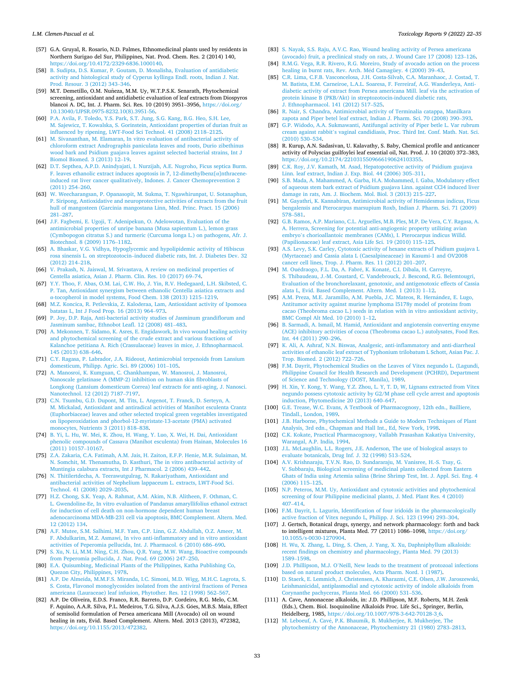- <span id="page-12-0"></span>[57] G.A. Gruyal, R. Rosario, N.D. Palmes, Ethnomedicinal plants used by residents in Northern Surigao del Sur, Philippines, Nat. Prod. Chem. Res. 2 (2014) 140, [https://doi.org/10.4172/2329-6836.1000140.](https://doi.org/10.4172/2329-6836.1000140)
- [58] [B. Sudipta, D.S. Kumar, P. Goutam, D. Monalisha, Evaluation of antidiabetic](http://refhub.elsevier.com/S2214-7500(21)00208-0/sbref0290) [activity and histological study of Cyperus kyllinga Endl. roots, Indian J. Nat.](http://refhub.elsevier.com/S2214-7500(21)00208-0/sbref0290) [Prod. Resour. 3 \(2012\) 343](http://refhub.elsevier.com/S2214-7500(21)00208-0/sbref0290)–346.
- [59] M.T. Demetillo, O.M. Nuñeza, M.M. Uy, W.T.P.S.K. Senarath, Phytochemical screening, antioxidant and antidiabetic evaluation of leaf extracts from Diospyros blancoi A. DC, Int. J. Pharm. Sci. Res. 10 (2019) 3951–3956, [https://doi.org/](https://doi.org/10.13040/IJPSR.0975-8232.10(8).3951-56) [10.13040/IJPSR.0975-8232.10\(8\).3951-56.](https://doi.org/10.13040/IJPSR.0975-8232.10(8).3951-56)
- [60] [P.A. Avila, F. Toledo, Y.S. Park, S.T. Jung, S.G. Kang, B.G. Heo, S.H. Lee,](http://refhub.elsevier.com/S2214-7500(21)00208-0/sbref0300) [M. Sajewicz, T. Kowalska, S. Gorinstein, Antioxidant properties of durian fruit as](http://refhub.elsevier.com/S2214-7500(21)00208-0/sbref0300)  [influenced by ripening, LWT-Food Sci Technol. 41 \(2008\) 2118](http://refhub.elsevier.com/S2214-7500(21)00208-0/sbref0300)–2125.
- [61] [M. Sivananthan, M. Elamaran, In vitro evaluation of antibacterial activity of](http://refhub.elsevier.com/S2214-7500(21)00208-0/sbref0305) [chloroform extract Andrographis paniculata leaves and roots, Durio zibethinus](http://refhub.elsevier.com/S2214-7500(21)00208-0/sbref0305) [wood bark and Psidium guajava leaves against selected bacterial strains, Int J](http://refhub.elsevier.com/S2214-7500(21)00208-0/sbref0305)  [Biomol Biomed. 3 \(2013\) 12](http://refhub.elsevier.com/S2214-7500(21)00208-0/sbref0305)–19.
- [62] [D.T. Septhea, A.P.D. Anindyajati, I. Nurzijah, A.E. Nugroho, Ficus septica Burm.](http://refhub.elsevier.com/S2214-7500(21)00208-0/sbref0310)  [F. leaves ethanolic extract induces apoptosis in 7, 12-dimethylbenz\[](http://refhub.elsevier.com/S2214-7500(21)00208-0/sbref0310)α]nthracen [induced rat liver cancer qualitatively, Indones. J. Cancer Chemoprevention 2](http://refhub.elsevier.com/S2214-7500(21)00208-0/sbref0310) [\(2011\) 254](http://refhub.elsevier.com/S2214-7500(21)00208-0/sbref0310)–260.
- [63] [W. Weecharangsan, P. Opanasopit, M. Sukma, T. Ngawhirunpat, U. Sotanaphun,](http://refhub.elsevier.com/S2214-7500(21)00208-0/sbref0315)  [P. Siripong, Antioxidative and neuroprotective activities of extracts from the fruit](http://refhub.elsevier.com/S2214-7500(21)00208-0/sbref0315)  [hull of mangosteen \(Garcinia mangostana Linn, Med. Princ. Pract. 15 \(2006\)](http://refhub.elsevier.com/S2214-7500(21)00208-0/sbref0315) 281–[287.](http://refhub.elsevier.com/S2214-7500(21)00208-0/sbref0315)
- [64] [J.F. Fagbemi, E. Ugoji, T. Adenipekun, O. Adelowotan, Evaluation of the](http://refhub.elsevier.com/S2214-7500(21)00208-0/sbref0320)  [antimicrobial properties of unripe banana \(Musa sapientum L.\), lemon grass](http://refhub.elsevier.com/S2214-7500(21)00208-0/sbref0320)  [\(Cymbopogon citratus S.\) and turmeric \(Curcuma longa L.\) on pathogens, Afr. J.](http://refhub.elsevier.com/S2214-7500(21)00208-0/sbref0320)  [Biotechnol. 8 \(2009\) 1176](http://refhub.elsevier.com/S2214-7500(21)00208-0/sbref0320)–1182.
- [65] [A. Bhaskar, V.G. Vidhya, Hypoglycemic and hypolipidemic activity of Hibiscus](http://refhub.elsevier.com/S2214-7500(21)00208-0/sbref0325) rosa sinensis L. on streptozotocin–[induced diabetic rats, Int. J. Diabetes Dev. 32](http://refhub.elsevier.com/S2214-7500(21)00208-0/sbref0325) [\(2012\) 214](http://refhub.elsevier.com/S2214-7500(21)00208-0/sbref0325)–218.
- [66] [V. Prakash, N. Jaiswal, M. Srivastava, A review on medicinal properties of](http://refhub.elsevier.com/S2214-7500(21)00208-0/sbref0330)  [Centella asiatica, Asian J. Pharm. Clin. Res. 10 \(2017\) 69](http://refhub.elsevier.com/S2214-7500(21)00208-0/sbref0330)–74.
- [67] [Y.Y. Thoo, F. Abas, O.M. Lai, C.W. Ho, J. Yin, R.V. Hedegaard, L.H. Skibsted, C.](http://refhub.elsevier.com/S2214-7500(21)00208-0/sbref0335)  [P. Tan, Antioxidant synergism between ethanolic Centella asiatica extracts and](http://refhub.elsevier.com/S2214-7500(21)00208-0/sbref0335) α[-tocopherol in model systems, Food Chem. 138 \(2013\) 1215](http://refhub.elsevier.com/S2214-7500(21)00208-0/sbref0335)–1219.
- [68] M.Z. Koncica, R. Petlevskia, Z. Kalođ[eraa, Lam, Antioxidant activity of Ipomoea](http://refhub.elsevier.com/S2214-7500(21)00208-0/sbref0340)  [batatas L, Int J Food Prop. 16 \(2013\) 964](http://refhub.elsevier.com/S2214-7500(21)00208-0/sbref0340)–973.
- [69] [P. Joy, D.P. Raja, Anti-bacterial activity studies of Jasminum grandiflorum and](http://refhub.elsevier.com/S2214-7500(21)00208-0/sbref0345)  [Jasminum sambac, Ethnobot Leafl. 12 \(2008\) 481](http://refhub.elsevier.com/S2214-7500(21)00208-0/sbref0345)–483.
- [70] [A. Mekonnen, T. Sidamo, K. Asres, E. Engidawork, In vivo wound healing activity](http://refhub.elsevier.com/S2214-7500(21)00208-0/sbref0350)  [and phytochemical screening of the crude extract and various fractions of](http://refhub.elsevier.com/S2214-7500(21)00208-0/sbref0350)  [Kalanchoe petitiana A. Rich \(Crassulaceae\) leaves in mice, J. Ethnopharmacol.](http://refhub.elsevier.com/S2214-7500(21)00208-0/sbref0350)  [145 \(2013\) 638](http://refhub.elsevier.com/S2214-7500(21)00208-0/sbref0350)–646.
- [71] [C.Y. Ragasa, P. Labrador, J.A. Rideout, Antimicrobial terpenoids from Lansium](http://refhub.elsevier.com/S2214-7500(21)00208-0/sbref0355)  [domesticum, Philipp. Agric. Sci. 89 \(2006\) 101](http://refhub.elsevier.com/S2214-7500(21)00208-0/sbref0355)–105.
- [72] [A. Manosroi, K. Kumguan, C. Chankhampan, W. Manosroi, J. Manosroi,](http://refhub.elsevier.com/S2214-7500(21)00208-0/sbref0360) [Nanoscale gelatinase A \(MMP-2\) inhibition on human skin fibroblasts of](http://refhub.elsevier.com/S2214-7500(21)00208-0/sbref0360)  [Longkong \(Lansium domesticum Correa\) leaf extracts for anti-aging, J. Nanosci.](http://refhub.elsevier.com/S2214-7500(21)00208-0/sbref0360) [Nanotechnol. 12 \(2012\) 7187](http://refhub.elsevier.com/S2214-7500(21)00208-0/sbref0360)–7197.
- [73] [C.N. Tsumbu, G.D. Dupont, M. Tits, L. Angenot, T. Franck, D. Serteyn, A.](http://refhub.elsevier.com/S2214-7500(21)00208-0/sbref0365) [M. Mickalad, Antioxidant and antiradical activities of Manihot esculenta Crantz](http://refhub.elsevier.com/S2214-7500(21)00208-0/sbref0365)  [\(Euphorbiaceae\) leaves and other selected tropical green vegetables investigated](http://refhub.elsevier.com/S2214-7500(21)00208-0/sbref0365)  [on lipoperoxidation and phorbol-12-myristate-13-acetate \(PMA\) activated](http://refhub.elsevier.com/S2214-7500(21)00208-0/sbref0365) [monocytes, Nutrients 3 \(2011\) 818](http://refhub.elsevier.com/S2214-7500(21)00208-0/sbref0365)–838.
- [74] [B. Yi, L. Hu, W. Mei, K. Zhou, H. Wang, Y. Luo, X. Wei, H. Dai, Antioxidant](http://refhub.elsevier.com/S2214-7500(21)00208-0/sbref0370) [phenolic compounds of Cassava \(Manihot esculenta\) from Hainan, Molecules 16](http://refhub.elsevier.com/S2214-7500(21)00208-0/sbref0370)  [\(2011\) 10157](http://refhub.elsevier.com/S2214-7500(21)00208-0/sbref0370)–10167.
- [75] [Z.A. Zakaria, C.A. Fatimah, A.M. Jais, H. Zaiton, E.F.P. Henie, M.R. Sulaiman, M.](http://refhub.elsevier.com/S2214-7500(21)00208-0/sbref0375)  [N. Somchit, M. Thenamutha, D. Kasthuri, The in vitro antibacterial activity of](http://refhub.elsevier.com/S2214-7500(21)00208-0/sbref0375)  [Muntingia calabura extracts, Int J Pharmacol. 2 \(2006\) 439](http://refhub.elsevier.com/S2214-7500(21)00208-0/sbref0375)–442.
- [76] [N. Thitilertdecha, A. Teerawutgulrag, N. Rakariyatham, Antioxidant and](http://refhub.elsevier.com/S2214-7500(21)00208-0/sbref0380)  [antibacterial activities of Nephelium lappaceum L. extracts, LWT-Food Sci.](http://refhub.elsevier.com/S2214-7500(21)00208-0/sbref0380) [Technol. 41 \(2008\) 2029](http://refhub.elsevier.com/S2214-7500(21)00208-0/sbref0380)–2035.
- [77] [H.Z. Chong, S.K. Yeap, A. Rahmat, A.M. Akim, N.B. Alitheen, F. Othman, C.](http://refhub.elsevier.com/S2214-7500(21)00208-0/sbref0385) [L. Gwendoline-Ee, In vitro evaluation of Pandanus amaryllifolius ethanol extract](http://refhub.elsevier.com/S2214-7500(21)00208-0/sbref0385)  [for induction of cell death on non-hormone dependent human breast](http://refhub.elsevier.com/S2214-7500(21)00208-0/sbref0385)  [adenocarcinoma MDA-MB-231 cell via apoptosis, BMC Complement. Altern. Med.](http://refhub.elsevier.com/S2214-7500(21)00208-0/sbref0385)  [12 \(2012\) 134](http://refhub.elsevier.com/S2214-7500(21)00208-0/sbref0385).
- [78] [A.F. Mutee, S.M. Salhimi, M.F. Yam, C.P. Linn, G.Z. Abdullah, O.Z. Ameer, M.](http://refhub.elsevier.com/S2214-7500(21)00208-0/sbref0390) [F. Abdulkarim, M.Z. Asmawi, In vivo anti-inflammatory and in vitro antioxidant](http://refhub.elsevier.com/S2214-7500(21)00208-0/sbref0390)  [activities of Peperomia pellucida, Int. J. Pharmacol. 6 \(2010\) 686](http://refhub.elsevier.com/S2214-7500(21)00208-0/sbref0390)–690.
- [79] [S. Xu, N. Li, M.M. Ning, C.H. Zhou, Q.R. Yang, M.W. Wang, Bioactive compounds](http://refhub.elsevier.com/S2214-7500(21)00208-0/sbref0395)  [from Peperomia pellucida, J. Nat. Prod. 69 \(2006\) 247](http://refhub.elsevier.com/S2214-7500(21)00208-0/sbref0395)–250.
- [80] [E.A. Quisumbing, Medicinal Plants of the Philippines, Katha Publishing Co,](http://refhub.elsevier.com/S2214-7500(21)00208-0/sbref0400) [Quezon City, Philippines, 1978.](http://refhub.elsevier.com/S2214-7500(21)00208-0/sbref0400)
- [81] [A.P. De Almeida, M.M.F.S. Miranda, I.C. Simoni, M.D. Wigg, M.H.C. Lagrota, S.](http://refhub.elsevier.com/S2214-7500(21)00208-0/sbref0405)  [S. Costa, Flavonol monoglycosides isolated from the antiviral fractions of Persea](http://refhub.elsevier.com/S2214-7500(21)00208-0/sbref0405)  [americana \(Lauraceae\) leaf infusion, Phytother. Res. 12 \(1998\) 562](http://refhub.elsevier.com/S2214-7500(21)00208-0/sbref0405)–567.
- [82] A.P. De Oliveira, E.D.S. Franco, R.R. Barreto, D.P. Cordeiro, R.G. Melo, C.M. F. Aquino, A.A.R. Silva, P.L. Medeiros, T.G. Silva, A.J.S. Góes, M.B.S. Maia, Effect of semisolid formulation of Persea americana Mill (Avocado) oil on wound healing in rats, Evid. Based Complement. Altern. Med. 2013 (2013), 472382, [https://doi.org/10.1155/2013/472382.](https://doi.org/10.1155/2013/472382)
- [83] S. Nayak, S.S. Raju, A.V.C. Rao, Wound healing activity of Persea americana [\(avocado\) fruit, a preclinical study on rats, J. Wound Care 17 \(2008\) 123](http://refhub.elsevier.com/S2214-7500(21)00208-0/sbref0415)–126.
- [84] [R.M.G. Vega, R.R. Rivero, R.G. Moreiro, Study of avocado action on the process](http://refhub.elsevier.com/S2214-7500(21)00208-0/sbref0420)  [healing in burnt rats, Rev. Arch. M](http://refhub.elsevier.com/S2214-7500(21)00208-0/sbref0420)éd Camagüey. 4 (2000) 39-43.
- [85] [C.R. Lima, C.F.B. Vasconcelosa, J.H. Costa-Silvab, C.A. Maranhaoc, J. Costad, T.](http://refhub.elsevier.com/S2214-7500(21)00208-0/sbref0425)  [M. Batista, E.M. Carneiroe, L.A.L. Soaresa, F. Ferreiraf, A.G. Wanderleya, Anti](http://refhub.elsevier.com/S2214-7500(21)00208-0/sbref0425)[diabetic activity of extract from Persea americana Mill. leaf via the activation of](http://refhub.elsevier.com/S2214-7500(21)00208-0/sbref0425)  [protein kinase B \(PKB/Akt\) in streptozotocin-induced diabetic rats,](http://refhub.elsevier.com/S2214-7500(21)00208-0/sbref0425) [J. Ethnopharmacol. 141 \(2012\) 517](http://refhub.elsevier.com/S2214-7500(21)00208-0/sbref0425)–525.
- [86] [R. Nair, S. Chandra, Antimicrobial activity of Terminalia catappa, Manilkara](http://refhub.elsevier.com/S2214-7500(21)00208-0/sbref0430)  [zapota and Piper betel leaf extract, Indian J. Pharm. Sci. 70 \(2008\) 390](http://refhub.elsevier.com/S2214-7500(21)00208-0/sbref0430)–393.
- [87] [G.P. Widodo, A.A. Sukmawanti, Antifungal activity of Piper betle L. Var rubrum](http://refhub.elsevier.com/S2214-7500(21)00208-0/sbref0435)  cream against rabbit'[s vaginal candidiasis, Proc. Third Int. Conf. Math. Nat. Sci.](http://refhub.elsevier.com/S2214-7500(21)00208-0/sbref0435)  [\(2010\) 530](http://refhub.elsevier.com/S2214-7500(21)00208-0/sbref0435)–534.
- [88] R. Kurup, A.N. Sadasivan, U. Kalavathy, S. Baby, Chemical profile and anticancer activity of Polyscias guilfoylei leaf essential oil, Nat. Prod. J. 10 (2020) 372–383, [https://doi.org/10.2174/2210315509666190624103355.](https://doi.org/10.2174/2210315509666190624103355)
- [89] [C.K. Roy, J.V. Kamath, M. Asad, Hepatopotective activity of Psidium guajava](http://refhub.elsevier.com/S2214-7500(21)00208-0/sbref0445)  [Linn. leaf extract, Indian J. Exp. Biol. 44 \(2006\) 305](http://refhub.elsevier.com/S2214-7500(21)00208-0/sbref0445)–311.
- S.B. Mada, A. Mahammed, A. Garba, H.A. Mohammed, I. Gaba, Modulatory effect [of aqueous stem bark extract of Psidium guajava Linn. against CCl4 induced liver](http://refhub.elsevier.com/S2214-7500(21)00208-0/sbref0450)  [damage in rats, Am. J. Biochem. Mol. Biol. 3 \(2013\) 215](http://refhub.elsevier.com/S2214-7500(21)00208-0/sbref0450)–227.
- [91] [M. Gayathri, K. Kannabiran, Antimicrobial activity of Hemidesmus indicus, Ficus](http://refhub.elsevier.com/S2214-7500(21)00208-0/sbref0455)  [bengalensis and Pterocarpus marsupium Roxb, Indian J. Pharm. Sci. 71 \(2009\)](http://refhub.elsevier.com/S2214-7500(21)00208-0/sbref0455) 578–[581.](http://refhub.elsevier.com/S2214-7500(21)00208-0/sbref0455)
- [92] [G.B. Ramos, A.P. Mariano, C.L. Arguelles, M.B. Ples, M.P. De Vera, C.Y. Ragasa, A.](http://refhub.elsevier.com/S2214-7500(21)00208-0/sbref0460)  [A. Herrera, Screening for potential anti-angiogenic property utilizing avian](http://refhub.elsevier.com/S2214-7500(21)00208-0/sbref0460) embryo'[s chorioallantoic membranes \(CAMs\), I. Pterocarpus indicus Willd.](http://refhub.elsevier.com/S2214-7500(21)00208-0/sbref0460)  [\(Papilionaceae\) leaf extract, Asia Life Sci. 19 \(2010\) 115](http://refhub.elsevier.com/S2214-7500(21)00208-0/sbref0460)–125.
- [93] [A.S. Levy, S.K. Carley, Cytotoxic activity of hexane extracts of Psidium guajava L](http://refhub.elsevier.com/S2214-7500(21)00208-0/sbref0465)  [\(Myrtaceae\) and Cassia alata L \(Caesalpineaceae\) in Kasumi-1 and OV2008](http://refhub.elsevier.com/S2214-7500(21)00208-0/sbref0465) [cancer cell lines, Trop. J. Pharm. Res. 11 \(2012\) 201](http://refhub.elsevier.com/S2214-7500(21)00208-0/sbref0465)–207.
- [94] M. Ouédraogo, F.L. Da, A. Fabré, K. Konaté, C.I. Dibala, H. Carreyre, [S. Thibaudeau, J.-M. Coustard, C. Vandebrouck, J. Bescond, R.G. Belemtougri,](http://refhub.elsevier.com/S2214-7500(21)00208-0/sbref0470)  [Evaluation of the bronchorelaxant, genotoxic, and antigenotoxic effects of Cassia](http://refhub.elsevier.com/S2214-7500(21)00208-0/sbref0470)  [alata L, Evid. Based Complement. Altern. Med. 1 \(2013\) 1](http://refhub.elsevier.com/S2214-7500(21)00208-0/sbref0470)–12.
- [95] A.M. Preza, M.E. Jaramillo, A.M. Puebla, J.C. Mateos, R. Hernández, E. Lugo, [Antitumor activity against murine lymphoma l5178y model of proteins from](http://refhub.elsevier.com/S2214-7500(21)00208-0/sbref0475)  [cacao \(Theobroma cacao L.\) seeds in relation with in vitro antioxidant activity,](http://refhub.elsevier.com/S2214-7500(21)00208-0/sbref0475)  [BMC Compl Alt Med. 10 \(2010\) 1](http://refhub.elsevier.com/S2214-7500(21)00208-0/sbref0475)–12.
- [96] [B. Sarmadi, A. Ismail, M. Hamid, Antioxidant and angiotensin converting enzyme](http://refhub.elsevier.com/S2214-7500(21)00208-0/sbref0480)  [\(ACE\) inhibitory activities of cocoa \(Theobroma cacao L.\) autolysates, Food Res.](http://refhub.elsevier.com/S2214-7500(21)00208-0/sbref0480)  [Int. 44 \(2011\) 290](http://refhub.elsevier.com/S2214-7500(21)00208-0/sbref0480)–296.
- [97] [K. Ali, A. Ashraf, N.N. Biswas, Analgesic, anti-inflammatory and anti-diarrheal](http://refhub.elsevier.com/S2214-7500(21)00208-0/sbref0485) [activities of ethanolic leaf extract of Typhonium trilobatum L Schott, Asian Pac. J.](http://refhub.elsevier.com/S2214-7500(21)00208-0/sbref0485)  [Trop. Biomed. 2 \(2012\) 722](http://refhub.elsevier.com/S2214-7500(21)00208-0/sbref0485)–726.
- [98] [F.M. Dayrit, Phytochemical Studies on the Leaves of Vitex negundo L. \(Lagundi,](http://refhub.elsevier.com/S2214-7500(21)00208-0/sbref0490)  [Philippine Council for Health Research and Development \(PCHRD\), Department](http://refhub.elsevier.com/S2214-7500(21)00208-0/sbref0490) [of Science and Technology \(DOST, Manila\), 1989](http://refhub.elsevier.com/S2214-7500(21)00208-0/sbref0490).
- [99] [H. Xin, Y. Kong, Y. Wang, Y.Z. Zhou, L. Y, T. D, W, Lignans extracted from Vitex](http://refhub.elsevier.com/S2214-7500(21)00208-0/sbref0495)  [negundo possess cytotoxic activity by G2/M phase cell cycle arrest and apoptosis](http://refhub.elsevier.com/S2214-7500(21)00208-0/sbref0495)  [induction, Phytomedicine 20 \(2013\) 640](http://refhub.elsevier.com/S2214-7500(21)00208-0/sbref0495)–647.
- [100] [G.E. Trease, W.C. Evans, A Textbook of Pharmacognosy, 12th edn., Bailliere,](http://refhub.elsevier.com/S2214-7500(21)00208-0/sbref0500) [Tindall., London, 1989.](http://refhub.elsevier.com/S2214-7500(21)00208-0/sbref0500)
- [101] [J.B. Harborne, Phytochemical Methods a Guide to Modern Techniques of Plant](http://refhub.elsevier.com/S2214-7500(21)00208-0/sbref0505) [Analysis, 3rd edn., Chapman and Hall Int., Ed, New York, 1998.](http://refhub.elsevier.com/S2214-7500(21)00208-0/sbref0505)
- [102] [C.K. Kokate, Practical Pharmacognosy, Vallabh Prasashan Kakatiya University,](http://refhub.elsevier.com/S2214-7500(21)00208-0/sbref0510)  [Warangal, A.P. India, 1994](http://refhub.elsevier.com/S2214-7500(21)00208-0/sbref0510).
- [103] [J.L. McLaughlin, L.L. Rogers, J.E. Anderson, The use of biological assays to](http://refhub.elsevier.com/S2214-7500(21)00208-0/sbref0515)  [evaluate botanicals, Drug Inf. J. 32 \(1998\) 513](http://refhub.elsevier.com/S2214-7500(21)00208-0/sbref0515)–524.
- [104] [A.V. Krishnaraju, T.V.N. Rao, D. Sundararaju, M. Vanisree, H.-S. Tsay, G.](http://refhub.elsevier.com/S2214-7500(21)00208-0/sbref0520)  [V. Subbaraju, Biological screening of medicinal plants collected from Eastern](http://refhub.elsevier.com/S2214-7500(21)00208-0/sbref0520)  [Ghats of India using Artemia salina \(Brine Shrimp Test, Int. J. Appl. Sci. Eng. 4](http://refhub.elsevier.com/S2214-7500(21)00208-0/sbref0520)  [\(2006\) 115](http://refhub.elsevier.com/S2214-7500(21)00208-0/sbref0520)–125.
- [105] [N.P. Peteros, M.M. Uy, Antioxidant and cytotoxic activities and phytochemical](http://refhub.elsevier.com/S2214-7500(21)00208-0/sbref0525) [screening of four Philippine medicinal plants, J. Med. Plant Res. 4 \(2010\)](http://refhub.elsevier.com/S2214-7500(21)00208-0/sbref0525) [407](http://refhub.elsevier.com/S2214-7500(21)00208-0/sbref0525)–414.
- [106] [F.M. Dayrit, L. Lagurin, Identification of four iridoids in the pharmacologically](http://refhub.elsevier.com/S2214-7500(21)00208-0/sbref0530)  [active fraction of Vitex negundo L, Philipp. J. Sci. 123 \(1994\) 293](http://refhub.elsevier.com/S2214-7500(21)00208-0/sbref0530)–304.
- [107] J. Gertsch, Botanical drugs, synergy, and network pharmacology: forth and back to intelligent mixtures, Planta Med. 77 (2011) 1086-1098, https://doi.org/ [10.1055/s-0030-1270904](https://doi.org/10.1055/s-0030-1270904).
- [108] [H. Wu, X. Zhang, L. Ding, S. Chen, J. Yang, X. Xu, Daphniphyllum alkaloids:](http://refhub.elsevier.com/S2214-7500(21)00208-0/sbref0540)  [recent findings on chemistry and pharmacology, Planta Med. 79 \(2013\)](http://refhub.elsevier.com/S2214-7500(21)00208-0/sbref0540) 1589–[1598.](http://refhub.elsevier.com/S2214-7500(21)00208-0/sbref0540)
- [109] J.D. Phillipson, M.J. O'[Neill, New leads to the treatment of protozoal infections](http://refhub.elsevier.com/S2214-7500(21)00208-0/sbref0545) [based on natural product molecules, Acta Pharm. Nord. 1 \(1987\).](http://refhub.elsevier.com/S2214-7500(21)00208-0/sbref0545)
- [110] [D. Staerk, E. Lemmich, J. Christensen, A. Kharazmi, C.E. Olsen, J.W. Jaroszewski,](http://refhub.elsevier.com/S2214-7500(21)00208-0/sbref0550)  [Leishmanicidal, antiplasmodial and cytotoxic activity of indole alkaloids from](http://refhub.elsevier.com/S2214-7500(21)00208-0/sbref0550) [Corynanthe pachyceras, Planta Med. 66 \(2000\) 531](http://refhub.elsevier.com/S2214-7500(21)00208-0/sbref0550)–536.
- [111] A. Cave, Annonaceae alkaloids, in: J.D. Phillipson, M.F. Roberts, M.H. Zenk (Eds.), Chem. Biol. Isoquinoline Alkaloids Proc. Life Sci., Springer, Berlin, Heidelberg, 1985, [https://doi.org/10.1007/978-3-642-70128-3\\_6](https://doi.org/10.1007/978-3-642-70128-3_6).
- [112] M. Leboeuf, A. Cavé, P.K. Bhaumik, B. Mukherjee, R. Mukherjee, The [phytochemistry of the Annonaceae, Phytochemistry 21 \(1980\) 2783](http://refhub.elsevier.com/S2214-7500(21)00208-0/sbref0560)–2813.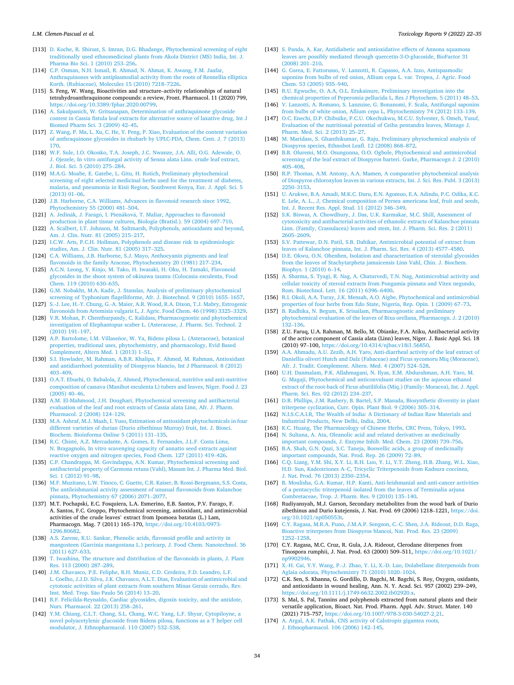- <span id="page-13-0"></span>[113] [D. Koche, R. Shirsat, S. Imran, D.G. Bhadange, Phytochemical screening of eight](http://refhub.elsevier.com/S2214-7500(21)00208-0/sbref0565)  [traditionally used ethnomedicinal plants from Akola District \(MS\) India, Int. J.](http://refhub.elsevier.com/S2214-7500(21)00208-0/sbref0565)  [Pharma Bio Sci. 1 \(2010\) 253](http://refhub.elsevier.com/S2214-7500(21)00208-0/sbref0565)–256.
- [114] C.P. Osman, N.H. Ismail, R. Ahmad, N. Ahmat, K. Awang, F.M. Jaafar [Anthraquinones with antiplasmodial activity from the roots of Rennellia elliptica](http://refhub.elsevier.com/S2214-7500(21)00208-0/sbref0570)  [Korth. \(Rubiaceae\), Molecules 15 \(2010\) 7218](http://refhub.elsevier.com/S2214-7500(21)00208-0/sbref0570)–7226.
- [115] S. Feng, W. Wang, Bioactivities and structure–activity relationships of natural tetrahydroanthraquinone compounds: a review, Front. Pharmacol. 11 (2020) 799, <https://doi.org/10.3389/fphar.2020.00799>.
- [116] [A. Sakulpanich, W. Gritsanapan, Determination of anthraquinone glycoside](http://refhub.elsevier.com/S2214-7500(21)00208-0/sbref0580) [contest in Cassia fistula leaf extracts for alternative source of laxative drug, Int J](http://refhub.elsevier.com/S2214-7500(21)00208-0/sbref0580)  [Biomed Pharm Sci. 3 \(2009\) 42](http://refhub.elsevier.com/S2214-7500(21)00208-0/sbref0580)–45.
- [117] [Z. Wang, P. Ma, L. Xu, C. He, Y. Peng, P. Xiao, Evaluation of the content variation](http://refhub.elsevier.com/S2214-7500(21)00208-0/sbref0585)  [of anthraquinone glycosides in rhubarb by UPLC-PDA, Chem. Cent. J. 7 \(2013\)](http://refhub.elsevier.com/S2214-7500(21)00208-0/sbref0585)  [170.](http://refhub.elsevier.com/S2214-7500(21)00208-0/sbref0585)
- [118] [W.F. Sule, I.O. Okonko, T.A. Joseph, J.C. Nwanze, J.A. Alli, O.G. Adewale, O.](http://refhub.elsevier.com/S2214-7500(21)00208-0/sbref0590)  [J. Ojezele, In vitro antifungal activity of Senna alata Linn. crude leaf extract,](http://refhub.elsevier.com/S2214-7500(21)00208-0/sbref0590)  [J. Biol. Sci. 5 \(2010\) 275](http://refhub.elsevier.com/S2214-7500(21)00208-0/sbref0590)–284.
- [119] [M.A.G. Moabe, E. Gatebe, L. Gitu, H. Rotich, Preliminary phytochemical](http://refhub.elsevier.com/S2214-7500(21)00208-0/sbref0595)  [screening of eight selected medicinal herbs used for the treatment of diabetes,](http://refhub.elsevier.com/S2214-7500(21)00208-0/sbref0595) [malaria, and pneumonia in Kisii Region, Southwest Kenya, Eur. J. Appl. Sci. 5](http://refhub.elsevier.com/S2214-7500(21)00208-0/sbref0595) [\(2013\) 01](http://refhub.elsevier.com/S2214-7500(21)00208-0/sbref0595)–06.
- [120] [J.B. Harborne, C.A. Williams, Advances in flavonoid research since 1992,](http://refhub.elsevier.com/S2214-7500(21)00208-0/sbref0600) [Phytochemistry 55 \(2000\) 481](http://refhub.elsevier.com/S2214-7500(21)00208-0/sbref0600)–504.
- [121] A. Jedinák, J. Faragó, I. Pšenáková, [T. Maliar, Approaches to flavonoid](http://refhub.elsevier.com/S2214-7500(21)00208-0/sbref0605) [production in plant tissue cultures, Biologia \(Bratisl.\). 59 \(2004\) 697](http://refhub.elsevier.com/S2214-7500(21)00208-0/sbref0605)–710. [122] [A. Scalbert, I.T. Johnson, M. Saltmarsh, Polyphenols, antioxidants and beyond,](http://refhub.elsevier.com/S2214-7500(21)00208-0/sbref0610)
- [Am. J. Clin. Nutr. 81 \(2005\) 215](http://refhub.elsevier.com/S2214-7500(21)00208-0/sbref0610)–217. [123] I.C.W. Arts, P.C.H. Hollman, Polyphenols and disease risk in epidemiologic
- [studies, Am. J. Clin. Nutr. 81 \(2005\) 317](http://refhub.elsevier.com/S2214-7500(21)00208-0/sbref0615)–325. [124] [C.A. Williams, J.B. Harborne, S.J. Mayo, Anthocyanin pigments and leaf](http://refhub.elsevier.com/S2214-7500(21)00208-0/sbref0620)
- [flavonoids in the family Araceae, Phytochemistry 20 \(1981\) 217](http://refhub.elsevier.com/S2214-7500(21)00208-0/sbref0620)–234. [125] [A.C.N. Leong, Y. Kinjo, M. Tako, H. Iwasaki, H. Oku, H. Tamaki, Flavonoid](http://refhub.elsevier.com/S2214-7500(21)00208-0/sbref0625) [glycosides in the shoot system of okinawa taumu \(Colocasia esculenta, Food](http://refhub.elsevier.com/S2214-7500(21)00208-0/sbref0625)
- [Chem. 119 \(2010\) 630](http://refhub.elsevier.com/S2214-7500(21)00208-0/sbref0625)–635. [126] [G.M. Nobakht, M.A. Kadir, J. Stanslas, Analysis of preliminary phytochemical](http://refhub.elsevier.com/S2214-7500(21)00208-0/sbref0630)
- [screening of Typhonium flagelliforme, Afr. J. Biotechnol. 9 \(2010\) 1655](http://refhub.elsevier.com/S2214-7500(21)00208-0/sbref0630)–1657. [127] [S.-J. Lee, H.-Y. Chung, G.-A. Maier, A.R. Wood, R.A. Dixon, T.J. Mabry, Estrogenic](http://refhub.elsevier.com/S2214-7500(21)00208-0/sbref0635)
- [flavonoids from Artemisia vulgaris L, J. Agric. Food Chem. 46 \(1998\) 3325](http://refhub.elsevier.com/S2214-7500(21)00208-0/sbref0635)–3329. [128] V.R. Mohan, P. Chenthurpandy, C. Kalidass, Pharmacognostic and phytochemical [investigation of Elephantopus scaber L. \(Asteraceae, J. Pharm. Sci. Technol. 2](http://refhub.elsevier.com/S2214-7500(21)00208-0/sbref0640)  [\(2010\) 191](http://refhub.elsevier.com/S2214-7500(21)00208-0/sbref0640)–197.
- [129] A.P. Bartolome, I.M. Villaseñor, [W. Ya, Bidens pilosa L. \(Asteraceae\), botanical](http://refhub.elsevier.com/S2214-7500(21)00208-0/sbref0645) [properties, traditional uses, phytochemistry, and pharmacology, Evid Based](http://refhub.elsevier.com/S2214-7500(21)00208-0/sbref0645) [Complement, Altern Med. 1 \(2013\) 1](http://refhub.elsevier.com/S2214-7500(21)00208-0/sbref0645)–51.
- [130] [S.I. Howlader, M. Rahman, A.B.R. Khalipa, F. Ahmed, M. Rahman, Antioxidant](http://refhub.elsevier.com/S2214-7500(21)00208-0/sbref0650)  [and antidiarrhoel potentiality of Diospyros blancio, Int J Pharmacol. 8 \(2012\)](http://refhub.elsevier.com/S2214-7500(21)00208-0/sbref0650) [403](http://refhub.elsevier.com/S2214-7500(21)00208-0/sbref0650)–409.
- [131] [O.A.T. Ebuehi, O. Babalola, Z. Ahmed, Phytochemical, nutritive and anti-nutritive](http://refhub.elsevier.com/S2214-7500(21)00208-0/sbref0655)  [composition of cassava \(Manihot esculenta L\) tubers and leaves, Niger. Food J. 23](http://refhub.elsevier.com/S2214-7500(21)00208-0/sbref0655)  [\(2005\) 40](http://refhub.elsevier.com/S2214-7500(21)00208-0/sbref0655)–46.
- [132] A.M. El-Mahmood, J.H. Doughari, Phytochemical screening and antibacterial [evaluation of the leaf and root extracts of Cassia alata Linn, Afr. J. Pharm.](http://refhub.elsevier.com/S2214-7500(21)00208-0/sbref0660)  [Pharmacol. 2 \(2008\) 124](http://refhub.elsevier.com/S2214-7500(21)00208-0/sbref0660)–129.
- [133] M.A. Ashraf, M.J. Maah, I. Yuso, Estimation of antioxidant phytochemicals in four [different varieties of durian \(Durio zibethinus Murray\) fruit, Int. J. Biosci.](http://refhub.elsevier.com/S2214-7500(21)00208-0/sbref0665)  [Biochem. Bioinforma Online 5 \(2011\) 131](http://refhub.elsevier.com/S2214-7500(21)00208-0/sbref0665)–135.
- [134] R.C. Chisté, A.Z. Mercadante, A. Gomes, E. Fernandes, J.L.F. Costa Lima, [N. Bragagnolo, In vitro scavenging capacity of annatto seed extracts against](http://refhub.elsevier.com/S2214-7500(21)00208-0/sbref0670) [reactive oxygen and nitrogen species, Food Chem. 127 \(2011\) 419](http://refhub.elsevier.com/S2214-7500(21)00208-0/sbref0670)–426.
- [135] [C.P. Chandrappa, M. Govindappa, A.N. Kumar, Phytochemical screening and](http://refhub.elsevier.com/S2214-7500(21)00208-0/sbref0675) [antibacterial property of Carmona retusa \(Vahl\), Masam Int. J. Pharma Med. Biol.](http://refhub.elsevier.com/S2214-7500(21)00208-0/sbref0675)  [Sci. 1 \(2012\) 91](http://refhub.elsevier.com/S2214-7500(21)00208-0/sbref0675)–98.
- [136] [M.F. Muzitano, L.W. Tinoco, C. Guette, C.R. Kaiser, B. Rossi-Bergmann, S.S. Costa,](http://refhub.elsevier.com/S2214-7500(21)00208-0/sbref0680)  [The antileishmanial activity assessment of unusual flavonoids from Kalanchoe](http://refhub.elsevier.com/S2214-7500(21)00208-0/sbref0680)  [pinnata, Phytochemistry 67 \(2006\) 2071](http://refhub.elsevier.com/S2214-7500(21)00208-0/sbref0680)–2077.
- [137] M.T. Pochapski, E.C. Fosquiera, L.A. Esmerino, E.B. Santos, P.V. Farago, F. A. Santos, F.C. Groppo, Phytochemical screening, antioxidant, and antimicrobial activities of the crude leaves' extract from Ipomoea batatas (L.) Lam, Pharmacogn. Mag. 7 (2011) 165–170, [https://doi.org/10.4103/0973-](https://doi.org/10.4103/0973-1296.80682)  [1296.80682.](https://doi.org/10.4103/0973-1296.80682)
- [138] [A.S. Zarene, K.U. Sankar, Phenolic acids, flavonoid profile and activity in](http://refhub.elsevier.com/S2214-7500(21)00208-0/sbref0690) [mangosteen \(Garcinia mangostana L.\) pericarp, J. Food Chem. Nanotechnol. 36](http://refhub.elsevier.com/S2214-7500(21)00208-0/sbref0690) [\(2011\) 627](http://refhub.elsevier.com/S2214-7500(21)00208-0/sbref0690)–633.
- [139] [T. Iwashina, The structure and distribution of the flavonoids in plants, J. Plant](http://refhub.elsevier.com/S2214-7500(21)00208-0/sbref0695)  [Res. 113 \(2000\) 287](http://refhub.elsevier.com/S2214-7500(21)00208-0/sbref0695)–289.
- [140] [J.M. Chavasco, P.E. Feliphe, B.H. Muniz, C.D. Cerdeira, F.D. Leandro, L.F.](http://refhub.elsevier.com/S2214-7500(21)00208-0/sbref0700) [L. Coelho, J.J.D. Silva, J.K. Chavasco, A.L.T. Dias, Evaluation of antimicrobial and](http://refhub.elsevier.com/S2214-7500(21)00208-0/sbref0700)  [cytotoxic activities of plant extracts from southern Minas Gerais cerrado, Rev.](http://refhub.elsevier.com/S2214-7500(21)00208-0/sbref0700)  Inst. Med. Trop. São Paulo 56 (2014) 13-20.
- [141] R.F. Felicilda-Reynaldo, Cardiac glycosides, digoxin toxicity, and the antidote, [Nurs. Pharmacol. 22 \(2013\) 258](http://refhub.elsevier.com/S2214-7500(21)00208-0/sbref0705)–261.
- [142] [Y.M. Chiang, C.L.T. Chang, S.L. Chang, W.C. Yang, L.F. Shyur, Cytopiloyne, a](http://refhub.elsevier.com/S2214-7500(21)00208-0/sbref0710) [novel polyacetylenic glucoside from Bidens pilosa, functions as a T helper cell](http://refhub.elsevier.com/S2214-7500(21)00208-0/sbref0710)  [modulator, J. Ethnopharmacol. 110 \(2007\) 532](http://refhub.elsevier.com/S2214-7500(21)00208-0/sbref0710)–538.
- [143] [S. Panda, A. Kar, Antidiabetic and antioxidative effects of Annona squamosa](http://refhub.elsevier.com/S2214-7500(21)00208-0/sbref0715) [leaves are possibly mediated through quercetin-3-O-glucoside, BioFactor 31](http://refhub.elsevier.com/S2214-7500(21)00208-0/sbref0715)  [\(2008\) 201](http://refhub.elsevier.com/S2214-7500(21)00208-0/sbref0715)–210.
- [144] [G. Corea, E. Fattorusso, V. Lanzotti, R. Capasso, A.A. Izzo, Antispasmodic](http://refhub.elsevier.com/S2214-7500(21)00208-0/sbref0720) [saponins from bulbs of red onion, Allium cepa L. var. Tropea, J. Agric. Food](http://refhub.elsevier.com/S2214-7500(21)00208-0/sbref0720) [Chem. 53 \(2005\) 935](http://refhub.elsevier.com/S2214-7500(21)00208-0/sbref0720)–940.
- [145] [R.U. Egwuche, O. A.A, O.L. Erukainure, Preliminary investigation into the](http://refhub.elsevier.com/S2214-7500(21)00208-0/sbref0725) [chemical properties of Peperomia pellucida L, Res J Phytochem. 5 \(2011\) 48](http://refhub.elsevier.com/S2214-7500(21)00208-0/sbref0725)–53.
- [146] [V. Lanzotti, A. Romano, S. Lanzuise, G. Bonanomi, F. Scala, Antifungal saponins](http://refhub.elsevier.com/S2214-7500(21)00208-0/sbref0730)  [from bulbs of white onion, Allium cepa L, Phytochemistry 74 \(2012\) 133](http://refhub.elsevier.com/S2214-7500(21)00208-0/sbref0730)–139.
- [147] [O.C. Enechi, D.P. Chibuike, P.C.U. Okechukwu, M.C.U. Sylvester, S. Omeh, Yusuf,](http://refhub.elsevier.com/S2214-7500(21)00208-0/sbref0735)  [Evaluation of the nutritional potential of Ceiba pentandra leaves, Mintage J.](http://refhub.elsevier.com/S2214-7500(21)00208-0/sbref0735) [Pharm. Med. Sci. 2 \(2013\) 25](http://refhub.elsevier.com/S2214-7500(21)00208-0/sbref0735)–27.
- [148] [M. Maridass, S. Ghanthikumar, G. Raju, Preliminary phytochemical analysis of](http://refhub.elsevier.com/S2214-7500(21)00208-0/sbref0740) [Diospyros species, Ethnobot Leafl. 12 \(2008\) 868](http://refhub.elsevier.com/S2214-7500(21)00208-0/sbref0740)–872.
- [149] [B.B. Oluremi, M.O. Osungunna, O.O. Ogbole, Phytochemical and antimicrobial](http://refhub.elsevier.com/S2214-7500(21)00208-0/sbref0745) [screening of the leaf extract of Diospyros barteri. Gurke, Pharmacogn J. 2 \(2010\)](http://refhub.elsevier.com/S2214-7500(21)00208-0/sbref0745)  [405](http://refhub.elsevier.com/S2214-7500(21)00208-0/sbref0745)–408.
- [150] [R.P. Thomas, A.M. Antony, A.A. Mamen, A comparative phytochemical analysis](http://refhub.elsevier.com/S2214-7500(21)00208-0/sbref0750) [of Diospyros chloroxylon leaves in various extracts, Int. J. Sci. Res. Publ. 3 \(2013\)](http://refhub.elsevier.com/S2214-7500(21)00208-0/sbref0750)  2250–[3153.](http://refhub.elsevier.com/S2214-7500(21)00208-0/sbref0750)
- [151] [U. Arukwe, B.A. Amadi, M.K.C. Duru, E.N. Agomuo, E.A. Adindu, P.C. Odika, K.C.](http://refhub.elsevier.com/S2214-7500(21)00208-0/sbref0755)  [E. Lele, A. L., J, Chemical composition of Persea americana leaf, fruit and seeds,](http://refhub.elsevier.com/S2214-7500(21)00208-0/sbref0755)  [Int. J. Recent Res. Appl. Stud. 11 \(2012\) 346](http://refhub.elsevier.com/S2214-7500(21)00208-0/sbref0755)–349.
- [152] [S.K. Biswas, A. Chowdhury, J. Das, U.K. Karmakar, M.C. Shill, Assessment of](http://refhub.elsevier.com/S2214-7500(21)00208-0/sbref0760) [cytotoxicity and antibacterial activities of ethanolic extracts of Kalanchoe pinnata](http://refhub.elsevier.com/S2214-7500(21)00208-0/sbref0760)  [Linn. \(Family, Crassulacea\) leaves and stem, Int. J. Pharm. Sci. Res. 2 \(2011\)](http://refhub.elsevier.com/S2214-7500(21)00208-0/sbref0760) 2605–[2609.](http://refhub.elsevier.com/S2214-7500(21)00208-0/sbref0760)
- [153] S.V. Pattewar, D.N. Patil, S.B. Dahikar, Antimicrobial potential of extract from [leaves of Kalanchoe pinnata, Int. J. Pharm. Sci. Res. 4 \(2013\) 4577](http://refhub.elsevier.com/S2214-7500(21)00208-0/sbref0765)–4580.
- [154] [D.E. Okwu, O.N. Ohenhen, Isolation and characterization of steroidal glycosides](http://refhub.elsevier.com/S2214-7500(21)00208-0/sbref0770) [from the leaves of Stachytarpheta jamaicensis Linn Vahl, Chin. J. Biochem.](http://refhub.elsevier.com/S2214-7500(21)00208-0/sbref0770)  [Biophys. 1 \(2010\) 6](http://refhub.elsevier.com/S2214-7500(21)00208-0/sbref0770)–14.
- [155] [A. Sharma, S. Tyagi, R. Nag, A. Chaturvedi, T.N. Nag, Antimicrobial activity and](http://refhub.elsevier.com/S2214-7500(21)00208-0/sbref0775)  [cellular toxicity of steroid extracts from Pongamia pinnata and Vitex negundo,](http://refhub.elsevier.com/S2214-7500(21)00208-0/sbref0775) [Rom. Biotechnol. Lett. 16 \(2011\) 6396](http://refhub.elsevier.com/S2214-7500(21)00208-0/sbref0775)–6400.
- [156] [R.I. Okoli, A.A. Turay, J.K. Mensah, A.O. Aigbe, Phytochemical and antimicrobial](http://refhub.elsevier.com/S2214-7500(21)00208-0/sbref0780)  [properties of four herbs from Edo State, Nigeria, Rep. Opin. 1 \(2009\) 67](http://refhub.elsevier.com/S2214-7500(21)00208-0/sbref0780)–73.
- [157] [B. Radhika, N. Begum, K. Srisailam, Pharmacognostic and preliminary](http://refhub.elsevier.com/S2214-7500(21)00208-0/sbref0785) [phytochemical evaluation of the leaves of Bixa orellana, Pharmacogn. J. 2 \(2010\)](http://refhub.elsevier.com/S2214-7500(21)00208-0/sbref0785)  [132](http://refhub.elsevier.com/S2214-7500(21)00208-0/sbref0785)–136.
- [158] Z.U. Faruq, U.A. Rahman, M. Bello, M. Obianke, F.A. Atiku, Antibacterial activity of the active component of Cassia alata (Linn) leaves, Niger. J. Basic Appl. Sci. 18 (2010) 97–100, <https://doi.org/10.4314/njbas.v18i1.56850>.
- [159] [A.A. Ahmadu, A.U. Zezib, A.H. Yaro, Anti-diarrheal activity of the leaf extract of](http://refhub.elsevier.com/S2214-7500(21)00208-0/sbref0795)  [Daniellia oliveri Hutch and Dalz \(Fabaceae\) and Ficus sycomoru Miq \(Moraceae\),](http://refhub.elsevier.com/S2214-7500(21)00208-0/sbref0795)  [Afr. J. Tradit. Complement. Altern. Med. 4 \(2007\) 524](http://refhub.elsevier.com/S2214-7500(21)00208-0/sbref0795)–528.
- [160] [U.H. Danmalam, P.K. Allahmagani, N. Ilyas, E.M. Abdurahman, A.H. Yaro, M.](http://refhub.elsevier.com/S2214-7500(21)00208-0/sbref0800)  [G. Magaji, Phytochemical and anticonvulsant studies on the aqueous ethanol](http://refhub.elsevier.com/S2214-7500(21)00208-0/sbref0800) [extract of the root-back of Ficus abutilifolia \(Miq.\) \(Family: Moracea\), Int. J. Appl.](http://refhub.elsevier.com/S2214-7500(21)00208-0/sbref0800)  [Pharm. Sci. Res. 02 \(2012\) 234](http://refhub.elsevier.com/S2214-7500(21)00208-0/sbref0800)–237.
- [161] [D.R. Phillips, J.M. Rasbery, B. Bartel, S.P. Masuda, Biosynthetic diversity in plant](http://refhub.elsevier.com/S2214-7500(21)00208-0/sbref0805)  [triterpene cyclization, Curr. Opin. Plant Biol. 9 \(2006\) 305](http://refhub.elsevier.com/S2214-7500(21)00208-0/sbref0805)–314.
- [162] [N.I.S.C.A.I.R, The Wealth of India: A Dictionary of Indian Raw Materials and](http://refhub.elsevier.com/S2214-7500(21)00208-0/sbref0810) [Industrial Products, New Delhi, India, 2004](http://refhub.elsevier.com/S2214-7500(21)00208-0/sbref0810).
- [163] [K.C. Huang, The Pharmacology of Chinese Herbs, CRC Press, Tokyo, 1993.](http://refhub.elsevier.com/S2214-7500(21)00208-0/sbref0815)
- [164] [N. Sultana, A. Ata, Oleanolic acid and related derivatives as medicinally](http://refhub.elsevier.com/S2214-7500(21)00208-0/sbref0820) [important compounds, J. Enzyme Inhib. Med. Chem. 23 \(2008\) 739](http://refhub.elsevier.com/S2214-7500(21)00208-0/sbref0820)–756.
- [165] [B.A. Shah, G.N. Qazi, S.C. Taneja, Boswellic acids, a group of medicinally](http://refhub.elsevier.com/S2214-7500(21)00208-0/sbref0825) [important compounds, Nat. Prod. Rep. 26 \(2009\) 72](http://refhub.elsevier.com/S2214-7500(21)00208-0/sbref0825)–89.
- [166] [C.Q. Liang, Y.M. Shi, X.Y. Li, R.H. Luo, Y. Li, Y.T. Zheng, H.B. Zhang, W.L. Xiao,](http://refhub.elsevier.com/S2214-7500(21)00208-0/sbref0830)  H.D. Sun, Kadcotriones A–[C, Tricyclic Triterpenoids from Kadsura coccinea,](http://refhub.elsevier.com/S2214-7500(21)00208-0/sbref0830) [J. Nat. Prod. 76 \(2013\) 2350](http://refhub.elsevier.com/S2214-7500(21)00208-0/sbref0830)–2354.
- [167] [B. Moulisha, G.A. Kumar, H.P. Kanti, Anti-leishmanial and anti-cancer activities](http://refhub.elsevier.com/S2214-7500(21)00208-0/sbref0835)  [of a pentacyclic triterpenoid isolated from the leaves of Terminalia arjuna](http://refhub.elsevier.com/S2214-7500(21)00208-0/sbref0835) [Combretaceae, Trop. J. Pharm. Res. 9 \(2010\) 135](http://refhub.elsevier.com/S2214-7500(21)00208-0/sbref0835)–140.
- [168] Rudiyansyah, M.J. Garson, Secondary metabolites from the wood bark of Durio zibethinus and Durio kutejensis, J. Nat. Prod. 69 (2006) 1218–1221, [https://doi.](https://doi.org/10.1021/np050553t)  [org/10.1021/np050553t.](https://doi.org/10.1021/np050553t)
- [169] [C.Y. Ragasa, M.R.A. Puno, J.M.A.P. Sengson, C.-C. Shen, J.A. Rideout, D.D. Raga,](http://refhub.elsevier.com/S2214-7500(21)00208-0/sbref0845)  [Bioactive triterpenes from Diospyros blancoi, Nat. Prod. Res. 23 \(2009\)](http://refhub.elsevier.com/S2214-7500(21)00208-0/sbref0845)  1252–[1258.](http://refhub.elsevier.com/S2214-7500(21)00208-0/sbref0845)
- [170] C.Y. Ragasa, M.C. Cruz, R. Gula, J.A. Rideout, Clerodane diterpenes from Tinospora rumphii, J. Nat. Prod. 63 (2000) 509–511, [https://doi.org/10.1021/](https://doi.org/10.1021/np9902946)  [np9902946](https://doi.org/10.1021/np9902946).
- [171] [X.-H. Cai, Y.Y. Wang, P.-J. Zhao, Y. Li, X.-D. Luo, Dolabellane diterpenoids from](http://refhub.elsevier.com/S2214-7500(21)00208-0/sbref0855)  [Aglaia odorata, Phytochemistry 71 \(2010\) 1020](http://refhub.elsevier.com/S2214-7500(21)00208-0/sbref0855)–1024.
- [172] C.K. Sen, S. Khanna, G. Gordillo, D. Bagchi, M. Bagchi, S. Roy, Oxygen, oxidants, and antioxidants in wound healing, Ann. N. Y. Acad. Sci. 957 (2002) 239–249, [https://doi.org/10.1111/j.1749-6632.2002.tb02920.x.](https://doi.org/10.1111/j.1749-6632.2002.tb02920.x)
- [173] S. Mal, S. Pal, Tannins and polyphenols extracted from natural plants and their versatile application, Bioact. Nat. Prod. Pharm. Appl. Adv. Struct. Mater. 140 (2021) 715–757, [https://doi.org/10.1007/978-3-030-54027-2\\_21.](https://doi.org/10.1007/978-3-030-54027-2_21)
- [174] [A. Argal, A.K. Pathak, CNS activity of Calotropis gigantea roots,](http://refhub.elsevier.com/S2214-7500(21)00208-0/sbref0870) [J. Ethnopharmacol. 106 \(2006\) 142](http://refhub.elsevier.com/S2214-7500(21)00208-0/sbref0870)–145.